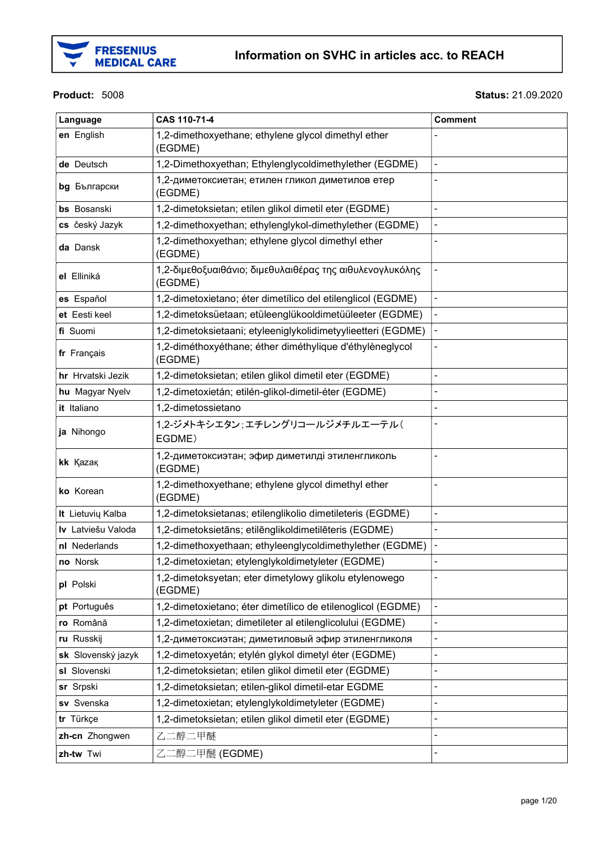

#### Product: 5008

**Status: 21.09.2020** 

| Language           | CAS 110-71-4                                                        | <b>Comment</b>           |
|--------------------|---------------------------------------------------------------------|--------------------------|
| en English         | 1,2-dimethoxyethane; ethylene glycol dimethyl ether<br>(EGDME)      |                          |
| de Deutsch         | 1,2-Dimethoxyethan; Ethylenglycoldimethylether (EGDME)              | $\overline{a}$           |
| bg Български       | 1,2-диметоксиетан; етилен гликол диметилов етер<br>(EGDME)          |                          |
| bs Bosanski        | 1,2-dimetoksietan; etilen glikol dimetil eter (EGDME)               |                          |
| cs český Jazyk     | 1,2-dimethoxyethan; ethylenglykol-dimethylether (EGDME)             |                          |
| da Dansk           | 1,2-dimethoxyethan; ethylene glycol dimethyl ether<br>(EGDME)       |                          |
| el Elliniká        | 1,2-διμεθοξυαιθάνιο; διμεθυλαιθέρας της αιθυλενογλυκόλης<br>(EGDME) |                          |
| es Español         | 1,2-dimetoxietano; éter dimetílico del etilenglicol (EGDME)         |                          |
| et Eesti keel      | 1,2-dimetoksüetaan; etüleenglükooldimetüüleeter (EGDME)             | $\overline{a}$           |
| fi Suomi           | 1,2-dimetoksietaani; etyleeniglykolidimetyylieetteri (EGDME)        |                          |
| fr Français        | 1,2-diméthoxyéthane; éther diméthylique d'éthylèneglycol<br>(EGDME) |                          |
| hr Hrvatski Jezik  | 1,2-dimetoksietan; etilen glikol dimetil eter (EGDME)               |                          |
| hu Magyar Nyelv    | 1,2-dimetoxietán; etilén-glikol-dimetil-éter (EGDME)                |                          |
| it Italiano        | 1,2-dimetossietano                                                  |                          |
| ja Nihongo         | 1,2-ジメトキシエタン;エチレングリコールジメチルエーテル(<br>EGDME)                           |                          |
| kk Kazak           | 1,2-диметоксиэтан; эфир диметилді этиленгликоль<br>(EGDME)          |                          |
| ko Korean          | 1,2-dimethoxyethane; ethylene glycol dimethyl ether<br>(EGDME)      |                          |
| It Lietuvių Kalba  | 1,2-dimetoksietanas; etilenglikolio dimetileteris (EGDME)           |                          |
| Iv Latviešu Valoda | 1,2-dimetoksietāns; etilēnglikoldimetilēteris (EGDME)               |                          |
| nl Nederlands      | 1,2-dimethoxyethaan; ethyleenglycoldimethylether (EGDME)            |                          |
| <b>no</b> Norsk    | 1,2-dimetoxietan; etylenglykoldimetyleter (EGDME)                   | -                        |
| pl Polski          | 1,2-dimetoksyetan; eter dimetylowy glikolu etylenowego<br>(EGDME)   |                          |
| pt Português       | 1,2-dimetoxietano; éter dimetílico de etilenoglicol (EGDME)         | $\frac{1}{2}$            |
| ro Română          | 1,2-dimetoxietan; dimetileter al etilenglicolului (EGDME)           | $\overline{\phantom{0}}$ |
| ru Russkij         | 1,2-диметоксиэтан; диметиловый эфир этиленгликоля                   |                          |
| sk Slovenský jazyk | 1,2-dimetoxyetán; etylén glykol dimetyl éter (EGDME)                | $\overline{a}$           |
| sl Slovenski       | 1,2-dimetoksietan; etilen glikol dimetil eter (EGDME)               | $\overline{a}$           |
| sr Srpski          | 1,2-dimetoksietan; etilen-glikol dimetil-etar EGDME                 |                          |
| sv Svenska         | 1,2-dimetoxietan; etylenglykoldimetyleter (EGDME)                   | -                        |
| tr Türkçe          | 1,2-dimetoksietan; etilen glikol dimetil eter (EGDME)               | $\overline{a}$           |
| zh-cn Zhongwen     | 乙二醇二甲醚                                                              | $\overline{a}$           |
| zh-tw Twi          | 乙二醇二甲醚 (EGDME)                                                      | $\overline{a}$           |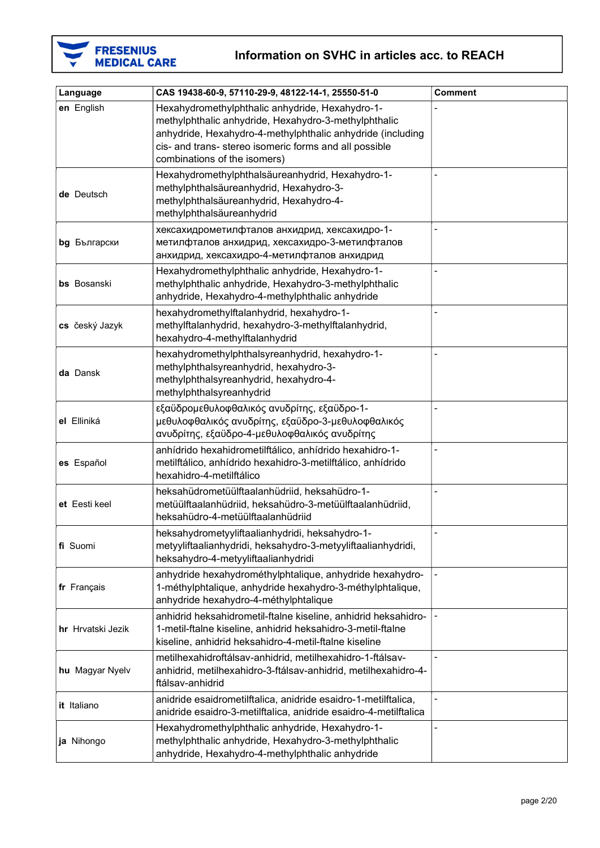

| Language          | CAS 19438-60-9, 57110-29-9, 48122-14-1, 25550-51-0                                                                                                                                                                                                              | <b>Comment</b> |
|-------------------|-----------------------------------------------------------------------------------------------------------------------------------------------------------------------------------------------------------------------------------------------------------------|----------------|
| en English        | Hexahydromethylphthalic anhydride, Hexahydro-1-<br>methylphthalic anhydride, Hexahydro-3-methylphthalic<br>anhydride, Hexahydro-4-methylphthalic anhydride (including<br>cis- and trans- stereo isomeric forms and all possible<br>combinations of the isomers) |                |
| de Deutsch        | Hexahydromethylphthalsäureanhydrid, Hexahydro-1-<br>methylphthalsäureanhydrid, Hexahydro-3-<br>methylphthalsäureanhydrid, Hexahydro-4-<br>methylphthalsäureanhydrid                                                                                             |                |
| bg Български      | хексахидрометилфталов анхидрид, хексахидро-1-<br>метилфталов анхидрид, хексахидро-3-метилфталов<br>анхидрид, хексахидро-4-метилфталов анхидрид                                                                                                                  |                |
| bs Bosanski       | Hexahydromethylphthalic anhydride, Hexahydro-1-<br>methylphthalic anhydride, Hexahydro-3-methylphthalic<br>anhydride, Hexahydro-4-methylphthalic anhydride                                                                                                      |                |
| cs český Jazyk    | hexahydromethylftalanhydrid, hexahydro-1-<br>methylftalanhydrid, hexahydro-3-methylftalanhydrid,<br>hexahydro-4-methylftalanhydrid                                                                                                                              |                |
| da Dansk          | hexahydromethylphthalsyreanhydrid, hexahydro-1-<br>methylphthalsyreanhydrid, hexahydro-3-<br>methylphthalsyreanhydrid, hexahydro-4-<br>methylphthalsyreanhydrid                                                                                                 |                |
| el Elliniká       | εξαϋδρομεθυλοφθαλικός ανυδρίτης, εξαϋδρο-1-<br>μεθυλοφθαλικός ανυδρίτης, εξαϋδρο-3-μεθυλοφθαλικός<br>ανυδρίτης, εξαϋδρο-4-μεθυλοφθαλικός ανυδρίτης                                                                                                              |                |
| es Español        | anhídrido hexahidrometilftálico, anhídrido hexahidro-1-<br>metilftálico, anhídrido hexahidro-3-metilftálico, anhídrido<br>hexahidro-4-metilftálico                                                                                                              |                |
| et Eesti keel     | heksahüdrometüülftaalanhüdriid, heksahüdro-1-<br>metüülftaalanhüdriid, heksahüdro-3-metüülftaalanhüdriid,<br>heksahüdro-4-metüülftaalanhüdriid                                                                                                                  |                |
| fi Suomi          | heksahydrometyyliftaalianhydridi, heksahydro-1-<br>metyyliftaalianhydridi, heksahydro-3-metyyliftaalianhydridi,<br>heksahydro-4-metyyliftaalianhydridi                                                                                                          |                |
| fr Français       | anhydride hexahydrométhylphtalique, anhydride hexahydro-<br>1-méthylphtalique, anhydride hexahydro-3-méthylphtalique,<br>anhydride hexahydro-4-méthylphtalique                                                                                                  |                |
| hr Hrvatski Jezik | anhidrid heksahidrometil-ftalne kiseline, anhidrid heksahidro-<br>1-metil-ftalne kiseline, anhidrid heksahidro-3-metil-ftalne<br>kiseline, anhidrid heksahidro-4-metil-ftalne kiseline                                                                          |                |
| hu Magyar Nyelv   | metilhexahidroftálsav-anhidrid, metilhexahidro-1-ftálsav-<br>anhidrid, metilhexahidro-3-ftálsav-anhidrid, metilhexahidro-4-<br>ftálsav-anhidrid                                                                                                                 |                |
| it Italiano       | anidride esaidrometilftalica, anidride esaidro-1-metilftalica,<br>anidride esaidro-3-metilftalica, anidride esaidro-4-metilftalica                                                                                                                              |                |
| ja Nihongo        | Hexahydromethylphthalic anhydride, Hexahydro-1-<br>methylphthalic anhydride, Hexahydro-3-methylphthalic<br>anhydride, Hexahydro-4-methylphthalic anhydride                                                                                                      |                |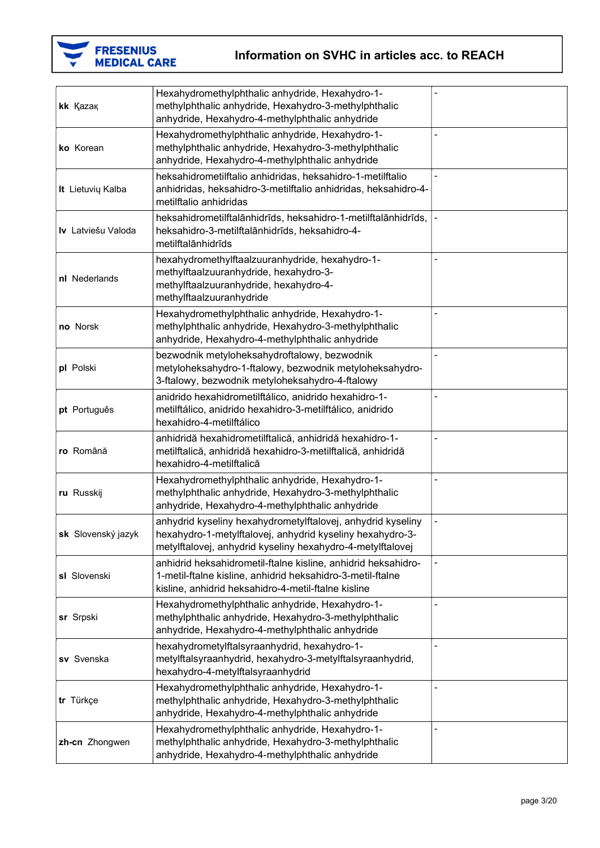

| kk Kazak           | Hexahydromethylphthalic anhydride, Hexahydro-1-<br>methylphthalic anhydride, Hexahydro-3-methylphthalic<br>anhydride, Hexahydro-4-methylphthalic anhydride                             |  |
|--------------------|----------------------------------------------------------------------------------------------------------------------------------------------------------------------------------------|--|
| ko Korean          | Hexahydromethylphthalic anhydride, Hexahydro-1-<br>methylphthalic anhydride, Hexahydro-3-methylphthalic<br>anhydride, Hexahydro-4-methylphthalic anhydride                             |  |
| It Lietuvių Kalba  | heksahidrometilftalio anhidridas, heksahidro-1-metilftalio<br>anhidridas, heksahidro-3-metilftalio anhidridas, heksahidro-4-<br>metilftalio anhidridas                                 |  |
| Iv Latviešu Valoda | heksahidrometilftalānhidrīds, heksahidro-1-metilftalānhidrīds,<br>heksahidro-3-metilftalānhidrīds, heksahidro-4-<br>metilftalānhidrīds                                                 |  |
| nl Nederlands      | hexahydromethylftaalzuuranhydride, hexahydro-1-<br>methylftaalzuuranhydride, hexahydro-3-<br>methylftaalzuuranhydride, hexahydro-4-<br>methylftaalzuuranhydride                        |  |
| no Norsk           | Hexahydromethylphthalic anhydride, Hexahydro-1-<br>methylphthalic anhydride, Hexahydro-3-methylphthalic<br>anhydride, Hexahydro-4-methylphthalic anhydride                             |  |
| pl Polski          | bezwodnik metyloheksahydroftalowy, bezwodnik<br>metyloheksahydro-1-ftalowy, bezwodnik metyloheksahydro-<br>3-ftalowy, bezwodnik metyloheksahydro-4-ftalowy                             |  |
| pt Português       | anidrido hexahidrometilftálico, anidrido hexahidro-1-<br>metilftálico, anidrido hexahidro-3-metilftálico, anidrido<br>hexahidro-4-metilftálico                                         |  |
| ro Română          | anhidridă hexahidrometilftalică, anhidridă hexahidro-1-<br>metilftalică, anhidridă hexahidro-3-metilftalică, anhidridă<br>hexahidro-4-metilftalică                                     |  |
| ru Russkij         | Hexahydromethylphthalic anhydride, Hexahydro-1-<br>methylphthalic anhydride, Hexahydro-3-methylphthalic<br>anhydride, Hexahydro-4-methylphthalic anhydride                             |  |
| sk Slovenský jazyk | anhydrid kyseliny hexahydrometylftalovej, anhydrid kyseliny<br>hexahydro-1-metylftalovej, anhydrid kyseliny hexahydro-3-<br>metylftalovej, anhydrid kyseliny hexahydro-4-metylftalovej |  |
| sl Slovenski       | anhidrid heksahidrometil-ftalne kisline, anhidrid heksahidro-<br>1-metil-ftalne kisline, anhidrid heksahidro-3-metil-ftalne<br>kisline, anhidrid heksahidro-4-metil-ftalne kisline     |  |
| sr Srpski          | Hexahydromethylphthalic anhydride, Hexahydro-1-<br>methylphthalic anhydride, Hexahydro-3-methylphthalic<br>anhydride, Hexahydro-4-methylphthalic anhydride                             |  |
| sv Svenska         | hexahydrometylftalsyraanhydrid, hexahydro-1-<br>metylftalsyraanhydrid, hexahydro-3-metylftalsyraanhydrid,<br>hexahydro-4-metylftalsyraanhydrid                                         |  |
| tr Türkçe          | Hexahydromethylphthalic anhydride, Hexahydro-1-<br>methylphthalic anhydride, Hexahydro-3-methylphthalic<br>anhydride, Hexahydro-4-methylphthalic anhydride                             |  |
| zh-cn Zhongwen     | Hexahydromethylphthalic anhydride, Hexahydro-1-<br>methylphthalic anhydride, Hexahydro-3-methylphthalic<br>anhydride, Hexahydro-4-methylphthalic anhydride                             |  |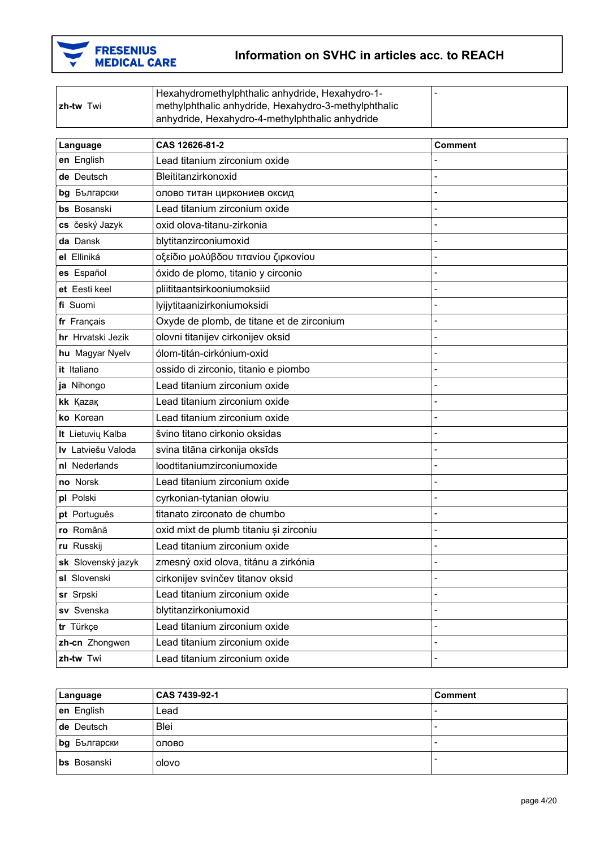

| Hexahydromethylphthalic anhydride, Hexahydro-1-<br>methylphthalic anhydride, Hexahydro-3-methylphthalic<br>Twi<br>l zh-tw<br>anhydride, Hexahydro-4-methylphthalic anhydride |  |
|------------------------------------------------------------------------------------------------------------------------------------------------------------------------------|--|
|------------------------------------------------------------------------------------------------------------------------------------------------------------------------------|--|

| Language           | CAS 12626-81-2                            | <b>Comment</b> |
|--------------------|-------------------------------------------|----------------|
| en English         | Lead titanium zirconium oxide             |                |
| de Deutsch         | Bleititanzirkonoxid                       |                |
| bg Български       | олово титан циркониев оксид               |                |
| bs Bosanski        | Lead titanium zirconium oxide             |                |
| cs český Jazyk     | oxid olova-titanu-zirkonia                |                |
| da Dansk           | blytitanzirconiumoxid                     |                |
| el Elliniká        | οξείδιο μολύβδου τιτανίου ζιρκονίου       |                |
| es Español         | óxido de plomo, titanio y circonio        |                |
| et Eesti keel      | pliititaantsirkooniumoksiid               |                |
| fi Suomi           | lyijytitaanizirkoniumoksidi               |                |
| fr Français        | Oxyde de plomb, de titane et de zirconium |                |
| hr Hrvatski Jezik  | olovni titanijev cirkonijev oksid         |                |
| hu Magyar Nyelv    | ólom-titán-cirkónium-oxid                 |                |
| it Italiano        | ossido di zirconio, titanio e piombo      |                |
| ja Nihongo         | Lead titanium zirconium oxide             |                |
| kk Kazak           | Lead titanium zirconium oxide             |                |
| ko Korean          | Lead titanium zirconium oxide             |                |
| It Lietuvių Kalba  | švino titano cirkonio oksidas             |                |
| Iv Latviešu Valoda | svina titāna cirkonija oksīds             | $\overline{a}$ |
| nl Nederlands      | loodtitaniumzirconiumoxide                |                |
| no Norsk           | Lead titanium zirconium oxide             |                |
| pl Polski          | cyrkonian-tytanian ołowiu                 |                |
| pt Português       | titanato zirconato de chumbo              |                |
| ro Română          | oxid mixt de plumb titaniu și zirconiu    |                |
| ru Russkij         | Lead titanium zirconium oxide             |                |
| sk Slovenský jazyk | zmesný oxid olova, titánu a zirkónia      |                |
| sl Slovenski       | cirkonijev svinčev titanov oksid          |                |
| sr Srpski          | Lead titanium zirconium oxide             |                |
| sv Svenska         | blytitanzirkoniumoxid                     |                |
| tr Türkçe          | Lead titanium zirconium oxide             |                |
| zh-cn Zhongwen     | Lead titanium zirconium oxide             |                |
| zh-tw Twi          | Lead titanium zirconium oxide             |                |

| Language           | CAS 7439-92-1 | ∣Comment |
|--------------------|---------------|----------|
| en English         | Lead          | -        |
| <b>de</b> Deutsch  | <b>Blei</b>   |          |
| bg Български       | олово         |          |
| <b>bs</b> Bosanski | olovo         | -        |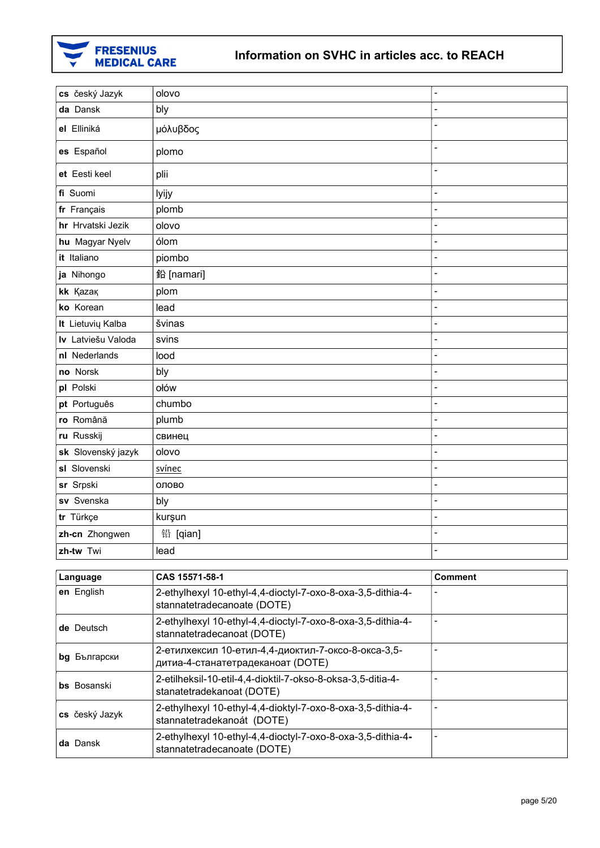

| cs český Jazyk     | olovo      |                              |
|--------------------|------------|------------------------------|
| da Dansk           | bly        |                              |
| el Elliniká        | μόλυβδος   | $\overline{\phantom{a}}$     |
| es Español         | plomo      | $\overline{a}$               |
| et Eesti keel      | plii       | $\overline{a}$               |
| fi Suomi           | lyijy      |                              |
| fr Français        | plomb      | $\overline{a}$               |
| hr Hrvatski Jezik  | olovo      | $\overline{a}$               |
| hu Magyar Nyelv    | ólom       | $\overline{a}$               |
| it Italiano        | piombo     | $\overline{a}$               |
| ja Nihongo         | 鉛 [namari] | $\overline{a}$               |
| kk Kazak           | plom       | $\overline{a}$               |
| ko Korean          | lead       |                              |
| It Lietuvių Kalba  | švinas     | $\overline{a}$               |
| Iv Latviešu Valoda | svins      | $\overline{a}$               |
| nl Nederlands      | lood       | $\overline{a}$               |
| no Norsk           | bly        | $\overline{a}$               |
| pl Polski          | ołów       | $\overline{a}$               |
| pt Português       | chumbo     | $\blacksquare$               |
| ro Română          | plumb      | $\blacksquare$               |
| ru Russkij         | свинец     |                              |
| sk Slovenský jazyk | olovo      | $\overline{a}$               |
| sl Slovenski       | svínec     | $\overline{a}$               |
| sr Srpski          | олово      |                              |
| sv Svenska         | bly        | $\overline{a}$               |
| tr Türkçe          | kurşun     | $\overline{a}$               |
| zh-cn Zhongwen     | 铅 [qian]   | $\overline{a}$               |
| zh-tw Twi          | lead       | $\qquad \qquad \blacksquare$ |

| Language           | CAS 15571-58-1                                                                             | <b>Comment</b> |
|--------------------|--------------------------------------------------------------------------------------------|----------------|
| en English         | 2-ethylhexyl 10-ethyl-4,4-dioctyl-7-oxo-8-oxa-3,5-dithia-4-<br>stannatetradecanoate (DOTE) |                |
| de Deutsch         | 2-ethylhexyl 10-ethyl-4,4-dioctyl-7-oxo-8-oxa-3,5-dithia-4-<br>stannatetradecanoat (DOTE)  |                |
| bg Български       | 2-етилхексил 10-етил-4,4-диоктил-7-оксо-8-окса-3,5-<br>дитиа-4-станатетрадеканоат (DOTE)   |                |
| <b>bs</b> Bosanski | 2-etilheksil-10-etil-4,4-dioktil-7-okso-8-oksa-3,5-ditia-4-<br>stanatetradekanoat (DOTE)   |                |
| cs český Jazyk     | 2-ethylhexyl 10-ethyl-4,4-dioktyl-7-oxo-8-oxa-3,5-dithia-4-<br>stannatetradekanoát (DOTE)  |                |
| da Dansk           | 2-ethylhexyl 10-ethyl-4,4-dioctyl-7-oxo-8-oxa-3,5-dithia-4-<br>stannatetradecanoate (DOTE) |                |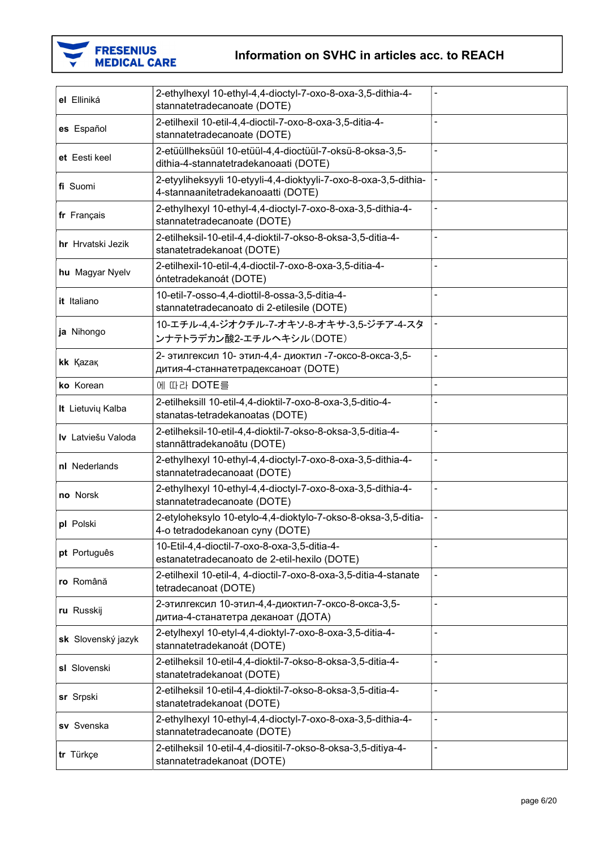

| el Elliniká               | 2-ethylhexyl 10-ethyl-4,4-dioctyl-7-oxo-8-oxa-3,5-dithia-4-<br>stannatetradecanoate (DOTE)             |  |
|---------------------------|--------------------------------------------------------------------------------------------------------|--|
| es Español                | 2-etilhexil 10-etil-4,4-dioctil-7-oxo-8-oxa-3,5-ditia-4-<br>stannatetradecanoate (DOTE)                |  |
| et Eesti keel             | 2-etüüllheksüül 10-etüül-4,4-dioctüül-7-oksü-8-oksa-3,5-<br>dithia-4-stannatetradekanoaati (DOTE)      |  |
| fi Suomi                  | 2-etyyliheksyyli 10-etyyli-4,4-dioktyyli-7-oxo-8-oxa-3,5-dithia-<br>4-stannaanitetradekanoaatti (DOTE) |  |
| fr Français               | 2-ethylhexyl 10-ethyl-4,4-dioctyl-7-oxo-8-oxa-3,5-dithia-4-<br>stannatetradecanoate (DOTE)             |  |
| hr Hrvatski Jezik         | 2-etilheksil-10-etil-4,4-dioktil-7-okso-8-oksa-3,5-ditia-4-<br>stanatetradekanoat (DOTE)               |  |
| hu Magyar Nyelv           | 2-etilhexil-10-etil-4,4-dioctil-7-oxo-8-oxa-3,5-ditia-4-<br>óntetradekanoát (DOTE)                     |  |
| <b>it</b> Italiano        | 10-etil-7-osso-4,4-diottil-8-ossa-3,5-ditia-4-<br>stannatetradecanoato di 2-etilesile (DOTE)           |  |
| ja Nihongo                | 10-エチル-4,4-ジオクチル-7-オキソ-8-オキサ-3,5-ジチア-4-スタ<br>ンナテトラデカン酸2-エチルヘキシル(DOTE)                                  |  |
| kk Kazak                  | 2- этилгексил 10- этил-4,4- диоктил -7-оксо-8-окса-3,5-<br>дития-4-станнатетрадексаноат (DOTE)         |  |
| ko Korean                 | 에 따라 DOTE를                                                                                             |  |
| It Lietuvių Kalba         | 2-etilheksill 10-etil-4,4-dioktil-7-oxo-8-oxa-3,5-ditio-4-<br>stanatas-tetradekanoatas (DOTE)          |  |
| <b>Iv</b> Latviešu Valoda | 2-etilheksil-10-etil-4,4-dioktil-7-okso-8-oksa-3,5-ditia-4-<br>stannāttradekanoātu (DOTE)              |  |
| nl Nederlands             | 2-ethylhexyl 10-ethyl-4,4-dioctyl-7-oxo-8-oxa-3,5-dithia-4-<br>stannatetradecanoaat (DOTE)             |  |
| no Norsk                  | 2-ethylhexyl 10-ethyl-4,4-dioctyl-7-oxo-8-oxa-3,5-dithia-4-<br>stannatetradecanoate (DOTE)             |  |
| pl Polski                 | 2-etyloheksylo 10-etylo-4,4-dioktylo-7-okso-8-oksa-3,5-ditia-<br>4-o tetradodekanoan cyny (DOTE)       |  |
| pt Português              | 10-Etil-4,4-dioctil-7-oxo-8-oxa-3,5-ditia-4-<br>estanatetradecanoato de 2-etil-hexilo (DOTE)           |  |
| ro Română                 | 2-etilhexil 10-etil-4, 4-dioctil-7-oxo-8-oxa-3,5-ditia-4-stanate<br>tetradecanoat (DOTE)               |  |
| ru Russkij                | 2-этилгексил 10-этил-4,4-диоктил-7-оксо-8-окса-3,5-<br>дитиа-4-станатетра деканоат (ДОТА)              |  |
| sk Slovenský jazyk        | 2-etylhexyl 10-etyl-4,4-dioktyl-7-oxo-8-oxa-3,5-ditia-4-<br>stannatetradekanoát (DOTE)                 |  |
| sl Slovenski              | 2-etilheksil 10-etil-4,4-dioktil-7-okso-8-oksa-3,5-ditia-4-<br>stanatetradekanoat (DOTE)               |  |
| sr Srpski                 | 2-etilheksil 10-etil-4,4-dioktil-7-okso-8-oksa-3,5-ditia-4-<br>stanatetradekanoat (DOTE)               |  |
| sv Svenska                | 2-ethylhexyl 10-ethyl-4,4-dioctyl-7-oxo-8-oxa-3,5-dithia-4-<br>stannatetradecanoate (DOTE)             |  |
| tr Türkçe                 | 2-etilheksil 10-etil-4,4-diositil-7-okso-8-oksa-3,5-ditiya-4-<br>stannatetradekanoat (DOTE)            |  |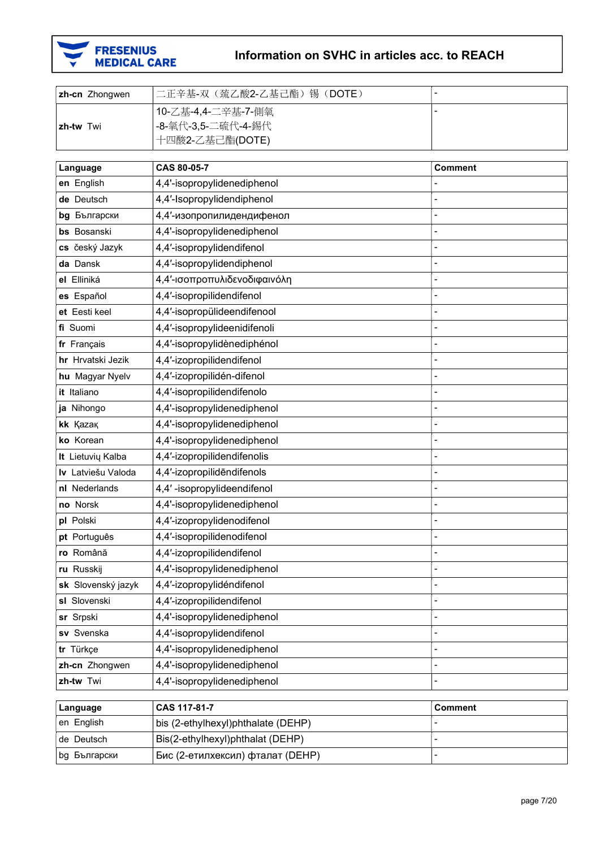

| <b>zh-cn</b> Zhongwen | 二正辛基-双(巯乙酸2-乙基己酯)锡(DOTE) | - |
|-----------------------|--------------------------|---|
|                       | 10-乙基-4,4-二辛基-7-側氧       | - |
| l zh-tw<br>Twi        | -8-氧代-3,5-二硫代-4-錫代       |   |
|                       | 十四酸2-乙基己酯(DOTE)          |   |

| Language           | CAS 80-05-7                  | <b>Comment</b> |
|--------------------|------------------------------|----------------|
| en English         | 4,4'-isopropylidenediphenol  |                |
| de Deutsch         | 4,4'-Isopropylidendiphenol   |                |
| bg Български       | 4,4'-изопропилидендифенол    |                |
| bs Bosanski        | 4,4'-isopropylidenediphenol  |                |
| cs český Jazyk     | 4,4'-isopropylidendifenol    |                |
| da Dansk           | 4,4'-isopropylidendiphenol   |                |
| el Elliniká        | 4,4'-ισοπροπυλιδενοδιφαινόλη |                |
| es Español         | 4,4'-isopropilidendifenol    |                |
| et Eesti keel      | 4,4'-isopropülideendifenool  |                |
| fi Suomi           | 4,4'-isopropylideenidifenoli |                |
| fr Français        | 4,4'-isopropylidènediphénol  |                |
| hr Hrvatski Jezik  | 4,4'-izopropilidendifenol    |                |
| hu Magyar Nyelv    | 4,4'-izopropilidén-difenol   |                |
| it Italiano        | 4,4'-isopropilidendifenolo   |                |
| ja Nihongo         | 4,4'-isopropylidenediphenol  |                |
| kk Kazak           | 4,4'-isopropylidenediphenol  |                |
| ko Korean          | 4,4'-isopropylidenediphenol  |                |
| It Lietuvių Kalba  | 4,4'-izopropilidendifenolis  |                |
| Iv Latviešu Valoda | 4,4'-izopropilidēndifenols   |                |
| nl Nederlands      | 4,4'-isopropylideendifenol   |                |
| no Norsk           | 4,4'-isopropylidenediphenol  |                |
| pl Polski          | 4,4'-izopropylidenodifenol   |                |
| pt Português       | 4,4'-isopropilidenodifenol   |                |
| ro Română          | 4,4'-izopropilidendifenol    |                |
| ru Russkij         | 4,4'-isopropylidenediphenol  |                |
| sk Slovenský jazyk | 4,4'-izopropylidéndifenol    |                |
| sl Slovenski       | 4,4'-izopropilidendifenol    |                |
| sr Srpski          | 4,4'-isopropylidenediphenol  |                |
| sv Svenska         | 4,4'-isopropylidendifenol    |                |
| tr Türkçe          | 4,4'-isopropylidenediphenol  |                |
| zh-cn Zhongwen     | 4,4'-isopropylidenediphenol  |                |
| zh-tw Twi          | 4,4'-isopropylidenediphenol  |                |

| Language     | CAS 117-81-7                       | Comment |
|--------------|------------------------------------|---------|
| en English   | bis (2-ethylhexyl)phthalate (DEHP) |         |
| l de Deutsch | Bis(2-ethylhexyl)phthalat (DEHP)   |         |
| bg Български | Бис (2-етилхексил) фталат (DEHP)   |         |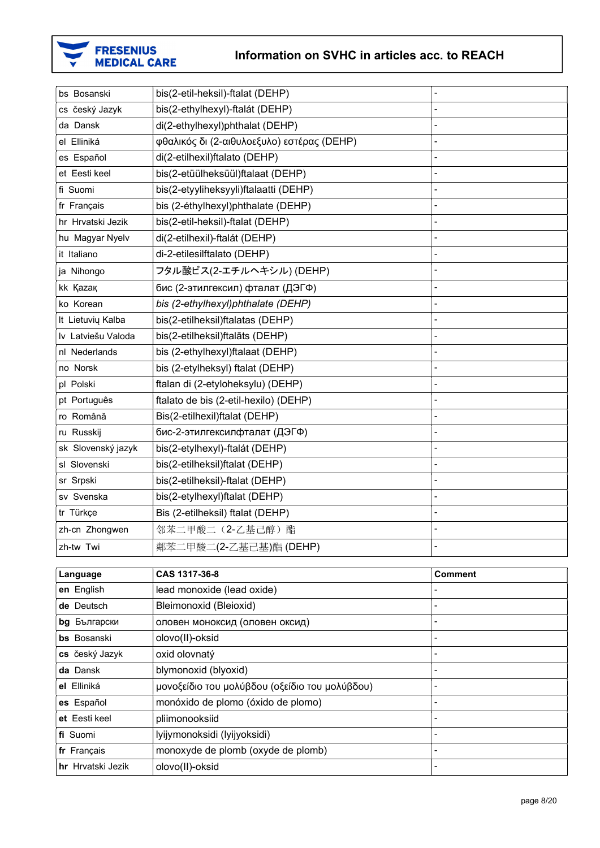

| bs Bosanski        | bis(2-etil-heksil)-ftalat (DEHP)           |                |
|--------------------|--------------------------------------------|----------------|
| cs český Jazyk     | bis(2-ethylhexyl)-ftalát (DEHP)            |                |
| da Dansk           | di(2-ethylhexyl)phthalat (DEHP)            | $\overline{a}$ |
| el Elliniká        | φθαλικός δι (2-αιθυλοεξυλο) εστέρας (DEHP) |                |
| es Español         | di(2-etilhexil)ftalato (DEHP)              |                |
| et Eesti keel      | bis(2-etüülheksüül)ftalaat (DEHP)          |                |
| fi Suomi           | bis(2-etyyliheksyyli)ftalaatti (DEHP)      |                |
| fr Français        | bis (2-éthylhexyl)phthalate (DEHP)         |                |
| hr Hrvatski Jezik  | bis(2-etil-heksil)-ftalat (DEHP)           |                |
| hu Magyar Nyelv    | di(2-etilhexil)-ftalát (DEHP)              |                |
| it Italiano        | di-2-etilesilftalato (DEHP)                |                |
| ja Nihongo         | フタル酸ビス(2-エチルヘキシル) (DEHP)                   |                |
| kk Kazak           | бис (2-этилгексил) фталат (ДЭГФ)           |                |
| ko Korean          | bis (2-ethylhexyl)phthalate (DEHP)         |                |
| It Lietuvių Kalba  | bis(2-etilheksil)ftalatas (DEHP)           |                |
| Iv Latviešu Valoda | bis(2-etilheksil)ftalāts (DEHP)            |                |
| nl Nederlands      | bis (2-ethylhexyl)ftalaat (DEHP)           |                |
| no Norsk           | bis (2-etylheksyl) ftalat (DEHP)           |                |
| pl Polski          | ftalan di (2-etyloheksylu) (DEHP)          |                |
| pt Português       | ftalato de bis (2-etil-hexilo) (DEHP)      |                |
| ro Română          | Bis(2-etilhexil)ftalat (DEHP)              | $\overline{a}$ |
| ru Russkij         | бис-2-этилгексилфталат (ДЭГФ)              |                |
| sk Slovenský jazyk | bis(2-etylhexyl)-ftalát (DEHP)             |                |
| sl Slovenski       | bis(2-etilheksil)ftalat (DEHP)             |                |
| sr Srpski          | bis(2-etilheksil)-ftalat (DEHP)            |                |
| sv Svenska         | bis(2-etylhexyl)ftalat (DEHP)              |                |
| tr Türkçe          | Bis (2-etilheksil) ftalat (DEHP)           |                |
| zh-cn Zhongwen     | 邻苯二甲酸二(2-乙基己醇)酯                            |                |
| zh-tw Twi          | 鄰苯二甲酸二(2-乙基己基)酯 (DEHP)                     |                |

| Language           | CAS 1317-36-8                                  | <b>Comment</b>           |
|--------------------|------------------------------------------------|--------------------------|
| en English         | lead monoxide (lead oxide)                     |                          |
| de Deutsch         | Bleimonoxid (Bleioxid)                         |                          |
| bg Български       | оловен моноксид (оловен оксид)                 | $\overline{\phantom{0}}$ |
| <b>bs</b> Bosanski | olovo(II)-oksid                                |                          |
| cs český Jazyk     | oxid olovnatý                                  |                          |
| da Dansk           | blymonoxid (blyoxid)                           |                          |
| el Elliniká        | μονοξείδιο του μολύβδου (οξείδιο του μολύβδου) |                          |
| es Español         | monóxido de plomo (óxido de plomo)             |                          |
| et Eesti keel      | pliimonooksiid                                 |                          |
| fi Suomi           | lyijymonoksidi (lyijyoksidi)                   |                          |
| fr Français        | monoxyde de plomb (oxyde de plomb)             | $\overline{\phantom{0}}$ |
| hr Hrvatski Jezik  | olovo(II)-oksid                                | $\overline{\phantom{0}}$ |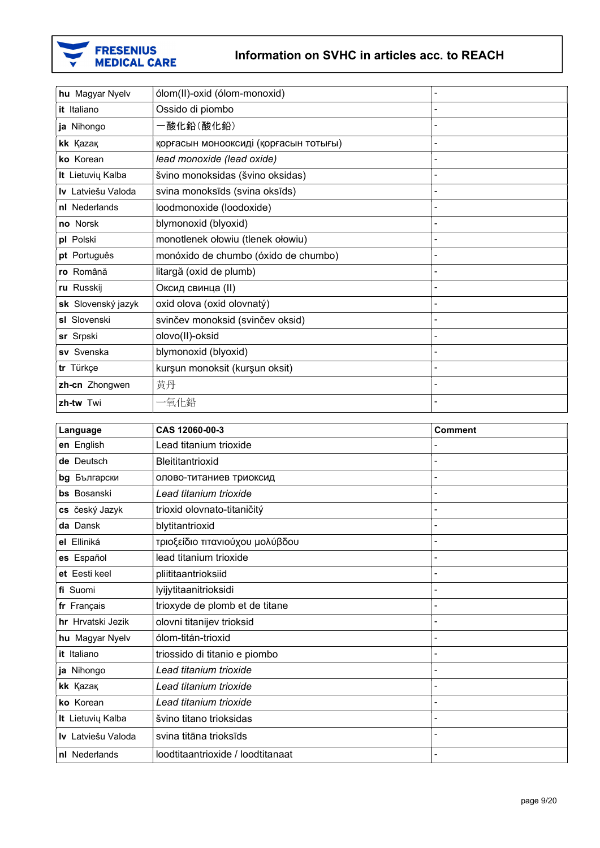

| hu Magyar Nyelv    | ólom(II)-oxid (ólom-monoxid)          |  |
|--------------------|---------------------------------------|--|
| it Italiano        | Ossido di piombo                      |  |
| ja Nihongo         | 一酸化鉛(酸化鉛)                             |  |
| kk Kazak           | қорғасын монооксиді (қорғасын тотығы) |  |
| ko Korean          | lead monoxide (lead oxide)            |  |
| It Lietuvių Kalba  | švino monoksidas (švino oksidas)      |  |
| Iv Latviešu Valoda | svina monoksīds (svina oksīds)        |  |
| nl Nederlands      | loodmonoxide (loodoxide)              |  |
| no Norsk           | blymonoxid (blyoxid)                  |  |
| pl Polski          | monotlenek ołowiu (tlenek ołowiu)     |  |
| pt Português       | monóxido de chumbo (óxido de chumbo)  |  |
| ro Română          | litargă (oxid de plumb)               |  |
| ru Russkij         | Оксид свинца (II)                     |  |
| sk Slovenský jazyk | oxid olova (oxid olovnatý)            |  |
| sl Slovenski       | svinčev monoksid (svinčev oksid)      |  |
| sr Srpski          | olovo(II)-oksid                       |  |
| sv Svenska         | blymonoxid (blyoxid)                  |  |
| tr Türkçe          | kurşun monoksit (kurşun oksit)        |  |
| zh-cn Zhongwen     | 黄丹                                    |  |
| zh-tw Twi          | 一氧化鉛                                  |  |

| Language           | CAS 12060-00-3                    | <b>Comment</b> |
|--------------------|-----------------------------------|----------------|
| en English         | Lead titanium trioxide            |                |
| de Deutsch         | Bleititantrioxid                  |                |
| bg Български       | олово-титаниев триоксид           |                |
| <b>bs</b> Bosanski | Lead titanium trioxide            |                |
| cs český Jazyk     | trioxid olovnato-titaničitý       |                |
| da Dansk           | blytitantrioxid                   |                |
| el Elliniká        | τριοξείδιο τιτανιούχου μολύβδου   |                |
| es Español         | lead titanium trioxide            |                |
| et Eesti keel      | pliititaantrioksiid               |                |
| fi Suomi           | lyijytitaanitrioksidi             |                |
| fr Français        | trioxyde de plomb et de titane    |                |
| hr Hrvatski Jezik  | olovni titanijev trioksid         |                |
| hu Magyar Nyelv    | ólom-titán-trioxid                |                |
| it Italiano        | triossido di titanio e piombo     |                |
| ja Nihongo         | Lead titanium trioxide            |                |
| kk Kazak           | Lead titanium trioxide            |                |
| ko Korean          | Lead titanium trioxide            |                |
| It Lietuvių Kalba  | švino titano trioksidas           |                |
| Iv Latviešu Valoda | svina titāna trioksīds            |                |
| nl Nederlands      | loodtitaantrioxide / loodtitanaat |                |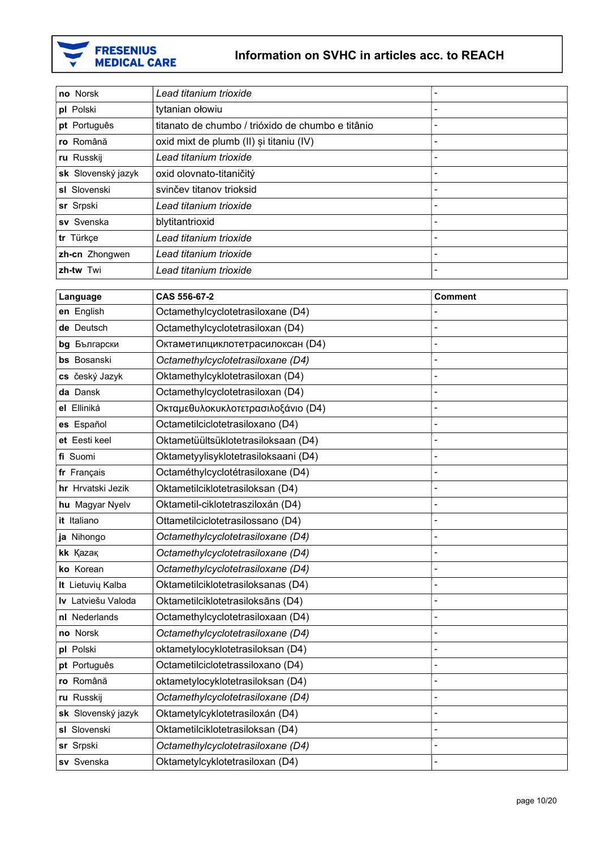

| no Norsk           | Lead titanium trioxide                            |  |
|--------------------|---------------------------------------------------|--|
| pl Polski          | tytanian ołowiu                                   |  |
| pt Português       | titanato de chumbo / trióxido de chumbo e titânio |  |
| ro Română          | oxid mixt de plumb (II) și titaniu (IV)           |  |
| ru Russkij         | Lead titanium trioxide                            |  |
| sk Slovenský jazyk | oxid olovnato-titaničitý                          |  |
| sl Slovenski       | svinčev titanov trioksid                          |  |
| sr Srpski          | Lead titanium trioxide                            |  |
| sv Svenska         | blytitantrioxid                                   |  |
| tr Türkçe          | Lead titanium trioxide                            |  |
| zh-cn Zhongwen     | Lead titanium trioxide                            |  |
| zh-tw Twi          | Lead titanium trioxide                            |  |
|                    |                                                   |  |

| Language           | CAS 556-67-2                         | <b>Comment</b> |  |
|--------------------|--------------------------------------|----------------|--|
| en English         | Octamethylcyclotetrasiloxane (D4)    |                |  |
| de Deutsch         | Octamethylcyclotetrasiloxan (D4)     |                |  |
| bg Български       | Октаметилциклотетрасилоксан (D4)     |                |  |
| <b>bs</b> Bosanski | Octamethylcyclotetrasiloxane (D4)    |                |  |
| cs český Jazyk     | Oktamethylcyklotetrasiloxan (D4)     |                |  |
| da Dansk           | Octamethylcyclotetrasiloxan (D4)     |                |  |
| el Elliniká        | Οκταμεθυλοκυκλοτετρασιλοξάνιο (D4)   | $\overline{a}$ |  |
| es Español         | Octametilciclotetrasiloxano (D4)     |                |  |
| et Eesti keel      | Oktametüültsüklotetrasiloksaan (D4)  |                |  |
| fi Suomi           | Oktametyylisyklotetrasiloksaani (D4) |                |  |
| fr Français        | Octaméthylcyclotétrasiloxane (D4)    | $\overline{a}$ |  |
| hr Hrvatski Jezik  | Oktametilciklotetrasiloksan (D4)     |                |  |
| hu Magyar Nyelv    | Oktametil-ciklotetrasziloxán (D4)    |                |  |
| it Italiano        | Ottametilciclotetrasilossano (D4)    |                |  |
| ja Nihongo         | Octamethylcyclotetrasiloxane (D4)    |                |  |
| kk Kazak           | Octamethylcyclotetrasiloxane (D4)    |                |  |
| ko Korean          | Octamethylcyclotetrasiloxane (D4)    |                |  |
| It Lietuvių Kalba  | Oktametilciklotetrasiloksanas (D4)   |                |  |
| Iv Latviešu Valoda | Oktametilciklotetrasiloksāns (D4)    |                |  |
| nl Nederlands      | Octamethylcyclotetrasiloxaan (D4)    |                |  |
| no Norsk           | Octamethylcyclotetrasiloxane (D4)    |                |  |
| pl Polski          | oktametylocyklotetrasiloksan (D4)    |                |  |
| pt Português       | Octametilciclotetrassiloxano (D4)    |                |  |
| ro Română          | oktametylocyklotetrasiloksan (D4)    |                |  |
| ru Russkij         | Octamethylcyclotetrasiloxane (D4)    |                |  |
| sk Slovenský jazyk | Oktametylcyklotetrasiloxán (D4)      |                |  |
| sl Slovenski       | Oktametilciklotetrasiloksan (D4)     |                |  |
| sr Srpski          | Octamethylcyclotetrasiloxane (D4)    |                |  |
| sv Svenska         | Oktametylcyklotetrasiloxan (D4)      |                |  |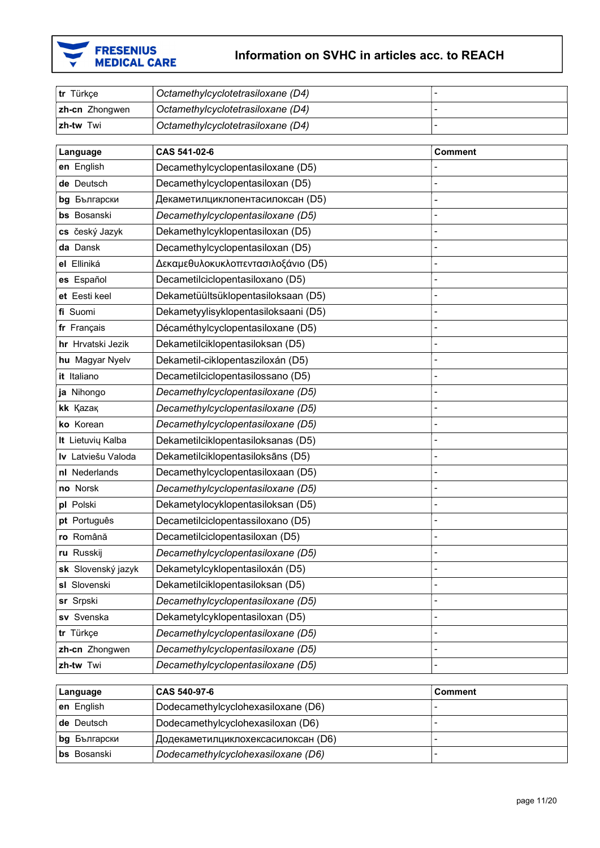

| Itr Türkce            | Octamethylcyclotetrasiloxane (D4) |  |
|-----------------------|-----------------------------------|--|
| <b>zh-cn</b> Zhongwen | Octamethylcyclotetrasiloxane (D4) |  |
| l zh-tw<br>Twi        | Octamethylcyclotetrasiloxane (D4) |  |

| Language           | CAS 541-02-6                         | <b>Comment</b> |
|--------------------|--------------------------------------|----------------|
| en English         | Decamethylcyclopentasiloxane (D5)    |                |
| de Deutsch         | Decamethylcyclopentasiloxan (D5)     |                |
| bg Български       | Декаметилциклопентасилоксан (D5)     |                |
| bs Bosanski        | Decamethylcyclopentasiloxane (D5)    |                |
| cs český Jazyk     | Dekamethylcyklopentasiloxan (D5)     |                |
| da Dansk           | Decamethylcyclopentasiloxan (D5)     |                |
| el Elliniká        | Δεκαμεθυλοκυκλοπεντασιλοξάνιο (D5)   |                |
| es Español         | Decametilciclopentasiloxano (D5)     |                |
| et Eesti keel      | Dekametüültsüklopentasiloksaan (D5)  |                |
| fi Suomi           | Dekametyylisyklopentasiloksaani (D5) |                |
| fr Français        | Décaméthylcyclopentasiloxane (D5)    |                |
| hr Hrvatski Jezik  | Dekametilciklopentasiloksan (D5)     |                |
| hu Magyar Nyelv    | Dekametil-ciklopentasziloxán (D5)    |                |
| it Italiano        | Decametilciclopentasilossano (D5)    |                |
| ja Nihongo         | Decamethylcyclopentasiloxane (D5)    |                |
| kk Kazak           | Decamethylcyclopentasiloxane (D5)    |                |
| ko Korean          | Decamethylcyclopentasiloxane (D5)    |                |
| It Lietuvių Kalba  | Dekametilciklopentasiloksanas (D5)   |                |
| Iv Latviešu Valoda | Dekametilciklopentasiloksāns (D5)    |                |
| nl Nederlands      | Decamethylcyclopentasiloxaan (D5)    |                |
| no Norsk           | Decamethylcyclopentasiloxane (D5)    |                |
| pl Polski          | Dekametylocyklopentasiloksan (D5)    |                |
| pt Português       | Decametilciclopentassiloxano (D5)    |                |
| ro Română          | Decametilciclopentasiloxan (D5)      |                |
| ru Russkij         | Decamethylcyclopentasiloxane (D5)    |                |
| sk Slovenský jazyk | Dekametylcyklopentasiloxán (D5)      |                |
| sl Slovenski       | Dekametilciklopentasiloksan (D5)     |                |
| sr Srpski          | Decamethylcyclopentasiloxane (D5)    |                |
| sv Svenska         | Dekametylcyklopentasiloxan (D5)      |                |
| tr Türkçe          | Decamethylcyclopentasiloxane (D5)    |                |
| zh-cn Zhongwen     | Decamethylcyclopentasiloxane (D5)    |                |
| zh-tw Twi          | Decamethylcyclopentasiloxane (D5)    |                |

| Language            | CAS 540-97-6                       | ∣ Comment |
|---------------------|------------------------------------|-----------|
| en English          | Dodecamethylcyclohexasiloxane (D6) |           |
| de Deutsch          | Dodecamethylcyclohexasiloxan (D6)  |           |
| <b>bg</b> Български | Додекаметилциклохексасилоксан (D6) |           |
| <b>bs</b> Bosanski  | Dodecamethylcyclohexasiloxane (D6) |           |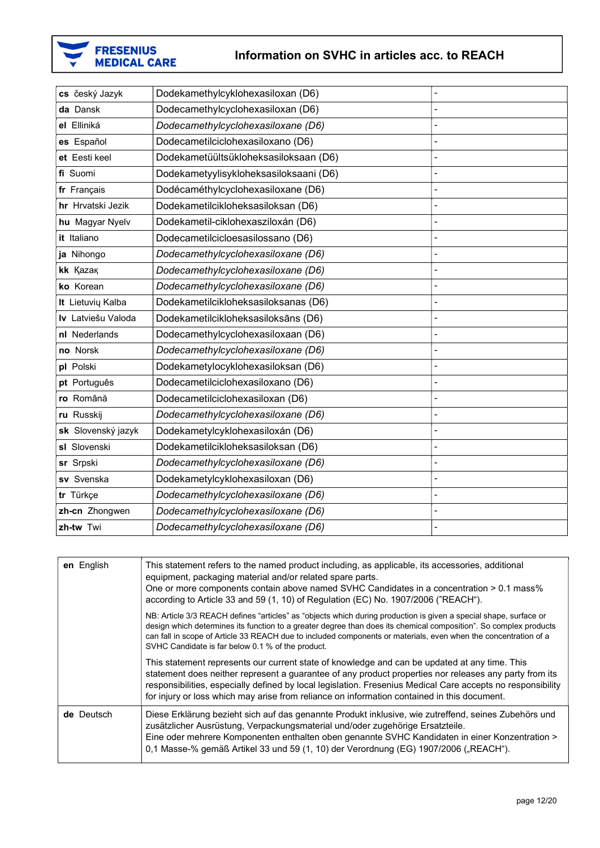

| cs český Jazyk     | Dodekamethylcyklohexasiloxan (D6)      |  |
|--------------------|----------------------------------------|--|
| da Dansk           | Dodecamethylcyclohexasiloxan (D6)      |  |
| el Elliniká        | Dodecamethylcyclohexasiloxane (D6)     |  |
| es Español         | Dodecametilciclohexasiloxano (D6)      |  |
| et Eesti keel      | Dodekametüültsükloheksasiloksaan (D6)  |  |
| fi Suomi           | Dodekametyylisykloheksasiloksaani (D6) |  |
| fr Français        | Dodécaméthylcyclohexasiloxane (D6)     |  |
| hr Hrvatski Jezik  | Dodekametilcikloheksasiloksan (D6)     |  |
| hu Magyar Nyelv    | Dodekametil-ciklohexasziloxán (D6)     |  |
| it Italiano        | Dodecametilcicloesasilossano (D6)      |  |
| ja Nihongo         | Dodecamethylcyclohexasiloxane (D6)     |  |
| kk Kazak           | Dodecamethylcyclohexasiloxane (D6)     |  |
| ko Korean          | Dodecamethylcyclohexasiloxane (D6)     |  |
| It Lietuvių Kalba  | Dodekametilcikloheksasiloksanas (D6)   |  |
| Iv Latviešu Valoda | Dodekametilcikloheksasiloksāns (D6)    |  |
| nl Nederlands      | Dodecamethylcyclohexasiloxaan (D6)     |  |
| no Norsk           | Dodecamethylcyclohexasiloxane (D6)     |  |
| pl Polski          | Dodekametylocyklohexasiloksan (D6)     |  |
| pt Português       | Dodecametilciclohexasiloxano (D6)      |  |
| ro Română          | Dodecametilciclohexasiloxan (D6)       |  |
| ru Russkij         | Dodecamethylcyclohexasiloxane (D6)     |  |
| sk Slovenský jazyk | Dodekametylcyklohexasiloxán (D6)       |  |
| sl Slovenski       | Dodekametilcikloheksasiloksan (D6)     |  |
| sr Srpski          | Dodecamethylcyclohexasiloxane (D6)     |  |
| sv Svenska         | Dodekametylcyklohexasiloxan (D6)       |  |
| tr Türkçe          | Dodecamethylcyclohexasiloxane (D6)     |  |
| zh-cn Zhongwen     | Dodecamethylcyclohexasiloxane (D6)     |  |
| zh-tw Twi          | Dodecamethylcyclohexasiloxane (D6)     |  |
|                    |                                        |  |

| en English | This statement refers to the named product including, as applicable, its accessories, additional<br>equipment, packaging material and/or related spare parts.<br>One or more components contain above named SVHC Candidates in a concentration > 0.1 mass%<br>according to Article 33 and 59 (1, 10) of Regulation (EC) No. 1907/2006 ("REACH").                                                                      |
|------------|-----------------------------------------------------------------------------------------------------------------------------------------------------------------------------------------------------------------------------------------------------------------------------------------------------------------------------------------------------------------------------------------------------------------------|
|            | NB: Article 3/3 REACH defines "articles" as "objects which during production is given a special shape, surface or<br>design which determines its function to a greater degree than does its chemical composition". So complex products<br>can fall in scope of Article 33 REACH due to included components or materials, even when the concentration of a<br>SVHC Candidate is far below 0.1 % of the product.        |
|            | This statement represents our current state of knowledge and can be updated at any time. This<br>statement does neither represent a guarantee of any product properties nor releases any party from its<br>responsibilities, especially defined by local legislation. Fresenius Medical Care accepts no responsibility<br>for injury or loss which may arise from reliance on information contained in this document. |
| de Deutsch | Diese Erklärung bezieht sich auf das genannte Produkt inklusive, wie zutreffend, seines Zubehörs und<br>zusätzlicher Ausrüstung, Verpackungsmaterial und/oder zugehörige Ersatzteile.<br>Eine oder mehrere Komponenten enthalten oben genannte SVHC Kandidaten in einer Konzentration ><br>0,1 Masse-% gemäß Artikel 33 und 59 (1, 10) der Verordnung (EG) 1907/2006 ("REACH").                                       |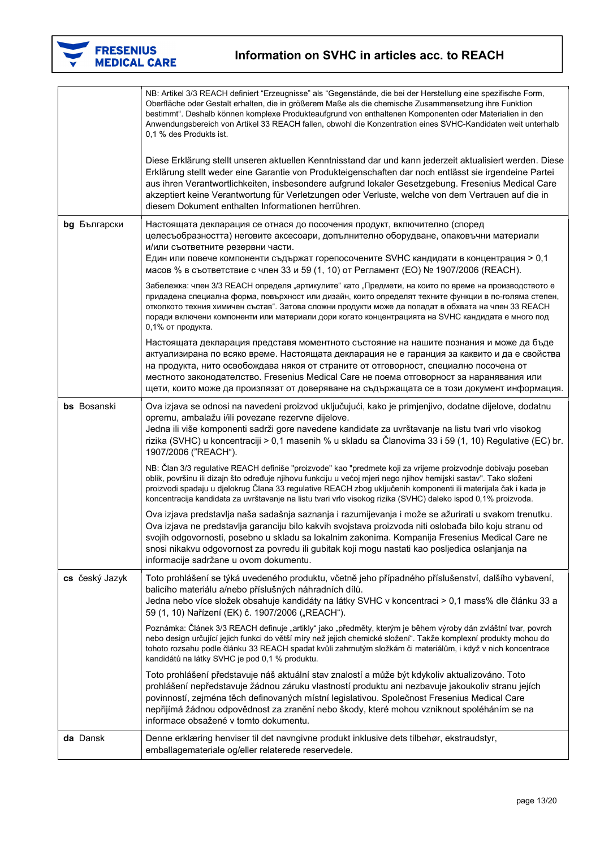| <b>FRESENIUS</b>    |
|---------------------|
| <b>MEDICAL CARE</b> |

|                | NB: Artikel 3/3 REACH definiert "Erzeugnisse" als "Gegenstände, die bei der Herstellung eine spezifische Form,<br>Oberfläche oder Gestalt erhalten, die in größerem Maße als die chemische Zusammensetzung ihre Funktion<br>bestimmt". Deshalb können komplexe Produkteaufgrund von enthaltenen Komponenten oder Materialien in den<br>Anwendungsbereich von Artikel 33 REACH fallen, obwohl die Konzentration eines SVHC-Kandidaten weit unterhalb<br>0,1 % des Produkts ist.<br>Diese Erklärung stellt unseren aktuellen Kenntnisstand dar und kann jederzeit aktualisiert werden. Diese<br>Erklärung stellt weder eine Garantie von Produkteigenschaften dar noch entlässt sie irgendeine Partei<br>aus ihren Verantwortlichkeiten, insbesondere aufgrund lokaler Gesetzgebung. Fresenius Medical Care |
|----------------|-----------------------------------------------------------------------------------------------------------------------------------------------------------------------------------------------------------------------------------------------------------------------------------------------------------------------------------------------------------------------------------------------------------------------------------------------------------------------------------------------------------------------------------------------------------------------------------------------------------------------------------------------------------------------------------------------------------------------------------------------------------------------------------------------------------|
|                | akzeptiert keine Verantwortung für Verletzungen oder Verluste, welche von dem Vertrauen auf die in<br>diesem Dokument enthalten Informationen herrühren.                                                                                                                                                                                                                                                                                                                                                                                                                                                                                                                                                                                                                                                  |
| bg Български   | Настоящата декларация се отнася до посочения продукт, включително (според<br>целесъобразността) неговите аксесоари, допълнително оборудване, опаковъчни материали<br>и/или съответните резервни части.<br>Един или повече компоненти съдържат горепосочените SVHC кандидати в концентрация > 0,1<br>масов % в съответствие с член 33 и 59 (1, 10) от Регламент (ЕО) № 1907/2006 (REACH).                                                                                                                                                                                                                                                                                                                                                                                                                  |
|                | Забележка: член 3/3 REACH определя "артикулите" като "Предмети, на които по време на производството е<br>придадена специална форма, повърхност или дизайн, които определят техните функции в по-голяма степен,<br>отколкото техния химичен състав". Затова сложни продукти може да попадат в обхвата на член 33 REACH<br>поради включени компоненти или материали дори когато концентрацията на SVHC кандидата е много под<br>0,1% от продукта.                                                                                                                                                                                                                                                                                                                                                           |
|                | Настоящата декларация представя моментното състояние на нашите познания и може да бъде<br>актуализирана по всяко време. Настоящата декларация не е гаранция за каквито и да е свойства<br>на продукта, нито освобождава някоя от страните от отговорност, специално посочена от<br>местното законодателство. Fresenius Medical Care не поема отговорност за наранявания или<br>щети, които може да произлязат от доверяване на съдържащата се в този документ информация.                                                                                                                                                                                                                                                                                                                                 |
| bs Bosanski    | Ova izjava se odnosi na navedeni proizvod uključujući, kako je primjenjivo, dodatne dijelove, dodatnu<br>opremu, ambalažu i/ili povezane rezervne dijelove.<br>Jedna ili više komponenti sadrži gore navedene kandidate za uvrštavanje na listu tvari vrlo visokog<br>rizika (SVHC) u koncentraciji > 0,1 masenih % u skladu sa Članovima 33 i 59 (1, 10) Regulative (EC) br.<br>1907/2006 ("REACH").                                                                                                                                                                                                                                                                                                                                                                                                     |
|                | NB: Član 3/3 regulative REACH definiše "proizvode" kao "predmete koji za vrijeme proizvodnje dobivaju poseban<br>oblik, površinu ili dizajn što određuje njihovu funkciju u većoj mjeri nego njihov hemijski sastav". Tako složeni<br>proizvodi spadaju u djelokrug Člana 33 regulative REACH zbog uključenih komponenti ili materijala čak i kada je<br>koncentracija kandidata za uvrštavanje na listu tvari vrlo visokog rizika (SVHC) daleko ispod 0,1% proizvoda.                                                                                                                                                                                                                                                                                                                                    |
|                | Ova izjava predstavlja naša sadašnja saznanja i razumijevanja i može se ažurirati u svakom trenutku.<br>Ova izjava ne predstavlja garanciju bilo kakvih svojstava proizvoda niti oslobađa bilo koju stranu od<br>svojih odgovornosti, posebno u skladu sa lokalnim zakonima. Kompanija Fresenius Medical Care ne<br>snosi nikakvu odgovornost za povredu ili gubitak koji mogu nastati kao posljedica oslanjanja na<br>informacije sadržane u ovom dokumentu.                                                                                                                                                                                                                                                                                                                                             |
| cs český Jazyk | Toto prohlášení se týká uvedeného produktu, včetně jeho případného příslušenství, dalšího vybavení,<br>balicího materiálu a/nebo příslušných náhradních dílů.<br>Jedna nebo více složek obsahuje kandidáty na látky SVHC v koncentraci > 0,1 mass% dle článku 33 a<br>59 (1, 10) Nařízení (EK) č. 1907/2006 ("REACH").                                                                                                                                                                                                                                                                                                                                                                                                                                                                                    |
|                | Poznámka: Článek 3/3 REACH definuje "artikly" jako "předměty, kterým je během výroby dán zvláštní tvar, povrch<br>nebo design určující jejich funkci do větší míry než jejich chemické složení". Takže komplexní produkty mohou do<br>tohoto rozsahu podle článku 33 REACH spadat kvůli zahrnutým složkám či materiálům, i když v nich koncentrace<br>kandidátů na látky SVHC je pod 0,1 % produktu.                                                                                                                                                                                                                                                                                                                                                                                                      |
|                | Toto prohlášení představuje náš aktuální stav znalostí a může být kdykoliv aktualizováno. Toto<br>prohlášení nepředstavuje žádnou záruku vlastností produktu ani nezbavuje jakoukoliv stranu jejích<br>povinností, zejména těch definovaných místní legislativou. Společnost Fresenius Medical Care<br>nepřijímá žádnou odpovědnost za zranění nebo škody, které mohou vzniknout spoléháním se na<br>informace obsažené v tomto dokumentu.                                                                                                                                                                                                                                                                                                                                                                |
| da Dansk       | Denne erklæring henviser til det navngivne produkt inklusive dets tilbehør, ekstraudstyr,<br>emballagemateriale og/eller relaterede reservedele.                                                                                                                                                                                                                                                                                                                                                                                                                                                                                                                                                                                                                                                          |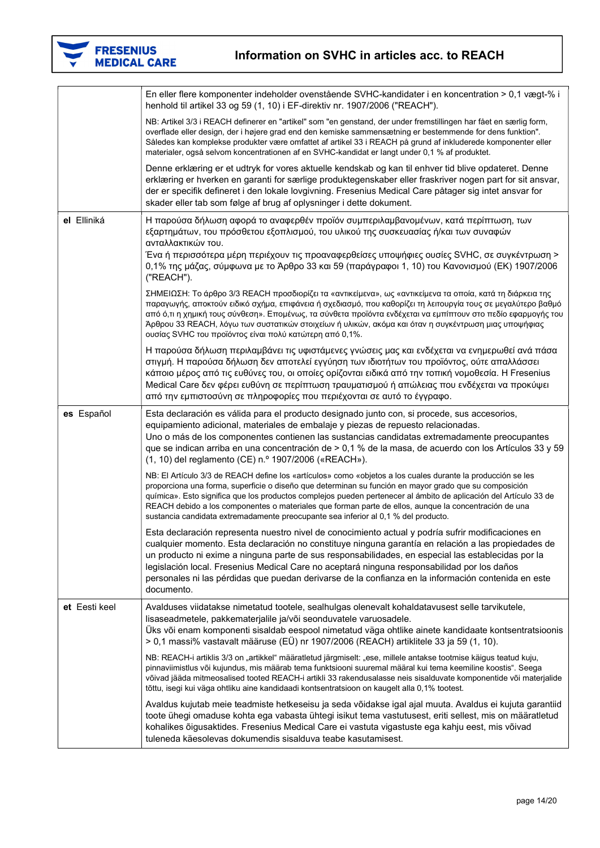

**F** 

|               | En eller flere komponenter indeholder ovenstående SVHC-kandidater i en koncentration > 0,1 vægt-% i<br>henhold til artikel 33 og 59 (1, 10) i EF-direktiv nr. 1907/2006 ("REACH").                                                                                                                                                                                                                                                                                                                                                        |
|---------------|-------------------------------------------------------------------------------------------------------------------------------------------------------------------------------------------------------------------------------------------------------------------------------------------------------------------------------------------------------------------------------------------------------------------------------------------------------------------------------------------------------------------------------------------|
|               | NB: Artikel 3/3 i REACH definerer en "artikel" som "en genstand, der under fremstillingen har fået en særlig form,<br>overflade eller design, der i højere grad end den kemiske sammensætning er bestemmende for dens funktion".<br>Således kan komplekse produkter være omfattet af artikel 33 i REACH på grund af inkluderede komponenter eller<br>materialer, også selvom koncentrationen af en SVHC-kandidat er langt under 0,1 % af produktet.                                                                                       |
|               | Denne erklæring er et udtryk for vores aktuelle kendskab og kan til enhver tid blive opdateret. Denne<br>erklæring er hverken en garanti for særlige produktegenskaber eller fraskriver nogen part for sit ansvar,<br>der er specifik defineret i den lokale lovgivning. Fresenius Medical Care påtager sig intet ansvar for<br>skader eller tab som følge af brug af oplysninger i dette dokument.                                                                                                                                       |
| el Elliniká   | Η παρούσα δήλωση αφορά το αναφερθέν προϊόν συμπεριλαμβανομένων, κατά περίπτωση, των<br>εξαρτημάτων, του πρόσθετου εξοπλισμού, του υλικού της συσκευασίας ή/και των συναφών<br>ανταλλακτικών του.<br>Ένα ή περισσότερα μέρη περιέχουν τις προαναφερθείσες υποψήφιες ουσίες SVHC, σε συγκέντρωση ><br>0,1% της μάζας, σύμφωνα με το Άρθρο 33 και 59 (παράγραφοι 1, 10) του Κανονισμού (ΕΚ) 1907/2006<br>("REACH").                                                                                                                          |
|               | ΣΗΜΕΙΩΣΗ: Το άρθρο 3/3 REACH προσδιορίζει τα «αντικείμενα», ως «αντικείμενα τα οποία, κατά τη διάρκεια της<br>παραγωγής, αποκτούν ειδικό σχήμα, επιφάνεια ή σχεδιασμό, που καθορίζει τη λειτουργία τους σε μεγαλύτερο βαθμό<br>από ό,τι η χημική τους σύνθεση». Επομένως, τα σύνθετα προϊόντα ενδέχεται να εμπίπτουν στο πεδίο εφαρμογής του<br>Άρθρου 33 REACH, λόγω των συστατικών στοιχείων ή υλικών, ακόμα και όταν η συγκέντρωση μιας υποψήφιας<br>ουσίας SVHC του προϊόντος είναι πολύ κατώτερη από 0,1%.                           |
|               | Η παρούσα δήλωση περιλαμβάνει τις υφιστάμενες γνώσεις μας και ενδέχεται να ενημερωθεί ανά πάσα<br>στιγμή. Η παρούσα δήλωση δεν αποτελεί εγγύηση των ιδιοτήτων του προϊόντος, ούτε απαλλάσσει<br>κάποιο μέρος από τις ευθύνες του, οι οποίες ορίζονται ειδικά από την τοπική νομοθεσία. Η Fresenius<br>Medical Care δεν φέρει ευθύνη σε περίπτωση τραυματισμού ή απώλειας που ενδέχεται να προκύψει<br>από την εμπιστοσύνη σε πληροφορίες που περιέχονται σε αυτό το έγγραφο.                                                              |
| es Español    | Esta declaración es válida para el producto designado junto con, si procede, sus accesorios,<br>equipamiento adicional, materiales de embalaje y piezas de repuesto relacionadas.<br>Uno o más de los componentes contienen las sustancias candidatas extremadamente preocupantes<br>que se indican arriba en una concentración de > 0,1 % de la masa, de acuerdo con los Artículos 33 y 59<br>(1, 10) del reglamento (CE) n.º 1907/2006 («REACH»).                                                                                       |
|               | NB: El Artículo 3/3 de REACH define los «artículos» como «objetos a los cuales durante la producción se les<br>proporciona una forma, superficie o diseño que determinan su función en mayor grado que su composición<br>química». Esto significa que los productos complejos pueden pertenecer al ámbito de aplicación del Artículo 33 de<br>REACH debido a los componentes o materiales que forman parte de ellos, aunque la concentración de una<br>sustancia candidata extremadamente preocupante sea inferior al 0,1 % del producto. |
|               | Esta declaración representa nuestro nivel de conocimiento actual y podría sufrir modificaciones en<br>cualquier momento. Esta declaración no constituye ninguna garantía en relación a las propiedades de<br>un producto ni exime a ninguna parte de sus responsabilidades, en especial las establecidas por la<br>legislación local. Fresenius Medical Care no aceptará ninguna responsabilidad por los daños<br>personales ni las pérdidas que puedan derivarse de la confianza en la información contenida en este<br>documento.       |
| et Eesti keel | Avalduses viidatakse nimetatud tootele, sealhulgas olenevalt kohaldatavusest selle tarvikutele,<br>lisaseadmetele, pakkematerjalile ja/või seonduvatele varuosadele.<br>Üks või enam komponenti sisaldab eespool nimetatud väga ohtlike ainete kandidaate kontsentratsioonis<br>> 0,1 massi% vastavalt määruse (EÜ) nr 1907/2006 (REACH) artiklitele 33 ja 59 (1, 10).                                                                                                                                                                    |
|               | NB: REACH-i artiklis 3/3 on "artikkel" määratletud järgmiselt: "ese, millele antakse tootmise käigus teatud kuju,<br>pinnaviimistlus või kujundus, mis määrab tema funktsiooni suuremal määral kui tema keemiline koostis". Seega<br>võivad jääda mitmeosalised tooted REACH-i artikli 33 rakendusalasse neis sisalduvate komponentide või materjalide<br>tõttu, isegi kui väga ohtliku aine kandidaadi kontsentratsioon on kaugelt alla 0,1% tootest.                                                                                    |
|               | Avaldus kujutab meie teadmiste hetkeseisu ja seda võidakse igal ajal muuta. Avaldus ei kujuta garantiid<br>toote ühegi omaduse kohta ega vabasta ühtegi isikut tema vastutusest, eriti sellest, mis on määratletud<br>kohalikes õigusaktides. Fresenius Medical Care ei vastuta vigastuste ega kahju eest, mis võivad<br>tuleneda käesolevas dokumendis sisalduva teabe kasutamisest.                                                                                                                                                     |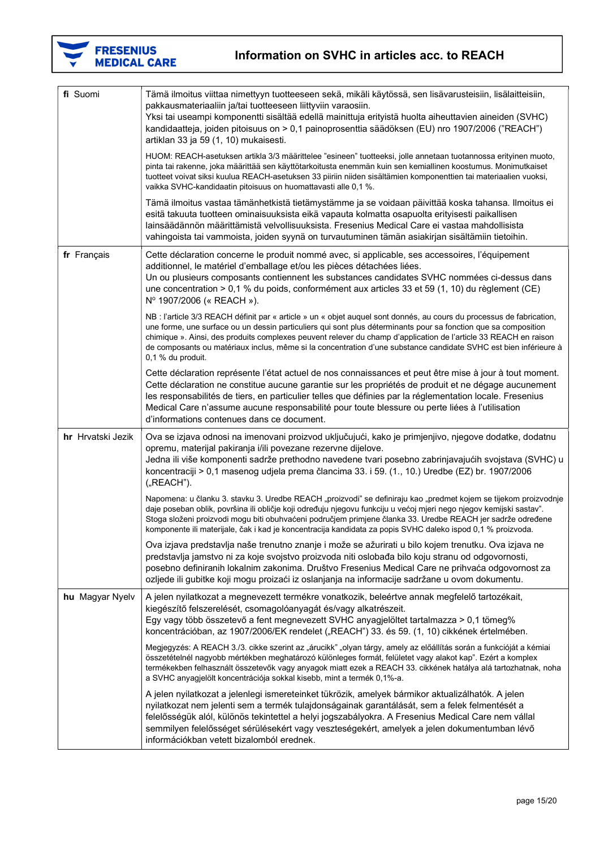

| fi Suomi          | Tämä ilmoitus viittaa nimettyyn tuotteeseen sekä, mikäli käytössä, sen lisävarusteisiin, lisälaitteisiin,<br>pakkausmateriaaliin ja/tai tuotteeseen liittyviin varaosiin.<br>Yksi tai useampi komponentti sisältää edellä mainittuja erityistä huolta aiheuttavien aineiden (SVHC)<br>kandidaatteja, joiden pitoisuus on > 0,1 painoprosenttia säädöksen (EU) nro 1907/2006 ("REACH")<br>artiklan 33 ja 59 (1, 10) mukaisesti.                                                                        |
|-------------------|-------------------------------------------------------------------------------------------------------------------------------------------------------------------------------------------------------------------------------------------------------------------------------------------------------------------------------------------------------------------------------------------------------------------------------------------------------------------------------------------------------|
|                   | HUOM: REACH-asetuksen artikla 3/3 määrittelee "esineen" tuotteeksi, jolle annetaan tuotannossa erityinen muoto,<br>pinta tai rakenne, joka määrittää sen käyttötarkoitusta enemmän kuin sen kemiallinen koostumus. Monimutkaiset<br>tuotteet voivat siksi kuulua REACH-asetuksen 33 piiriin niiden sisältämien komponenttien tai materiaalien vuoksi,<br>vaikka SVHC-kandidaatin pitoisuus on huomattavasti alle 0,1 %.                                                                               |
|                   | Tämä ilmoitus vastaa tämänhetkistä tietämystämme ja se voidaan päivittää koska tahansa. Ilmoitus ei<br>esitä takuuta tuotteen ominaisuuksista eikä vapauta kolmatta osapuolta erityisesti paikallisen<br>lainsäädännön määrittämistä velvollisuuksista. Fresenius Medical Care ei vastaa mahdollisista<br>vahingoista tai vammoista, joiden syynä on turvautuminen tämän asiakirjan sisältämiin tietoihin.                                                                                            |
| fr Français       | Cette déclaration concerne le produit nommé avec, si applicable, ses accessoires, l'équipement<br>additionnel, le matériel d'emballage et/ou les pièces détachées liées.<br>Un ou plusieurs composants contiennent les substances candidates SVHC nommées ci-dessus dans<br>une concentration > 0,1 % du poids, conformément aux articles 33 et 59 (1, 10) du règlement (CE)<br>Nº 1907/2006 (« REACH »).                                                                                             |
|                   | NB : l'article 3/3 REACH définit par « article » un « objet auquel sont donnés, au cours du processus de fabrication,<br>une forme, une surface ou un dessin particuliers qui sont plus déterminants pour sa fonction que sa composition<br>chimique ». Ainsi, des produits complexes peuvent relever du champ d'application de l'article 33 REACH en raison<br>de composants ou matériaux inclus, même si la concentration d'une substance candidate SVHC est bien inférieure à<br>0,1 % du produit. |
|                   | Cette déclaration représente l'état actuel de nos connaissances et peut être mise à jour à tout moment.<br>Cette déclaration ne constitue aucune garantie sur les propriétés de produit et ne dégage aucunement<br>les responsabilités de tiers, en particulier telles que définies par la réglementation locale. Fresenius<br>Medical Care n'assume aucune responsabilité pour toute blessure ou perte liées à l'utilisation<br>d'informations contenues dans ce document.                           |
| hr Hrvatski Jezik | Ova se izjava odnosi na imenovani proizvod uključujući, kako je primjenjivo, njegove dodatke, dodatnu<br>opremu, materijal pakiranja i/ili povezane rezervne dijelove.<br>Jedna ili više komponenti sadrže prethodno navedene tvari posebno zabrinjavajućih svojstava (SVHC) u<br>koncentraciji > 0,1 masenog udjela prema člancima 33. i 59. (1., 10.) Uredbe (EZ) br. 1907/2006<br>("REACH").                                                                                                       |
|                   | Napomena: u članku 3. stavku 3. Uredbe REACH "proizvodi" se definiraju kao "predmet kojem se tijekom proizvodnje<br>daje poseban oblik, površina ili obličje koji određuju njegovu funkciju u većoj mjeri nego njegov kemijski sastav".<br>Stoga složeni proizvodi mogu biti obuhvaćeni područjem primjene članka 33. Uredbe REACH jer sadrže određene<br>komponente ili materijale, čak i kad je koncentracija kandidata za popis SVHC daleko ispod 0,1 % proizvoda.                                 |
|                   | Ova izjava predstavlja naše trenutno znanje i može se ažurirati u bilo kojem trenutku. Ova izjava ne<br>predstavlja jamstvo ni za koje svojstvo proizvoda niti oslobađa bilo koju stranu od odgovornosti,<br>posebno definiranih lokalnim zakonima. Društvo Fresenius Medical Care ne prihvaća odgovornost za<br>ozljede ili gubitke koji mogu proizaći iz oslanjanja na informacije sadržane u ovom dokumentu.                                                                                       |
| hu Magyar Nyelv   | A jelen nyilatkozat a megnevezett termékre vonatkozik, beleértve annak megfelelő tartozékait,<br>kiegészítő felszerelését, csomagolóanyagát és/vagy alkatrészeit.<br>Egy vagy több összetevő a fent megnevezett SVHC anyagjelöltet tartalmazza > 0,1 tömeg%<br>koncentrációban, az 1907/2006/EK rendelet ("REACH") 33. és 59. (1, 10) cikkének értelmében.                                                                                                                                            |
|                   | Megjegyzés: A REACH 3./3. cikke szerint az "árucikk" "olyan tárgy, amely az előállítás során a funkcióját a kémiai<br>összetételnél nagyobb mértékben meghatározó különleges formát, felületet vagy alakot kap". Ezért a komplex<br>termékekben felhasznált összetevők vagy anyagok miatt ezek a REACH 33. cikkének hatálya alá tartozhatnak, noha<br>a SVHC anyagjelölt koncentrációja sokkal kisebb, mint a termék 0,1%-a.                                                                          |
|                   | A jelen nyilatkozat a jelenlegi ismereteinket tükrözik, amelyek bármikor aktualizálhatók. A jelen<br>nyilatkozat nem jelenti sem a termék tulajdonságainak garantálását, sem a felek felmentését a<br>felelősségük alól, különös tekintettel a helyi jogszabályokra. A Fresenius Medical Care nem vállal<br>semmilyen felelősséget sérülésekért vagy veszteségekért, amelyek a jelen dokumentumban lévő                                                                                               |
|                   | információkban vetett bizalomból erednek.                                                                                                                                                                                                                                                                                                                                                                                                                                                             |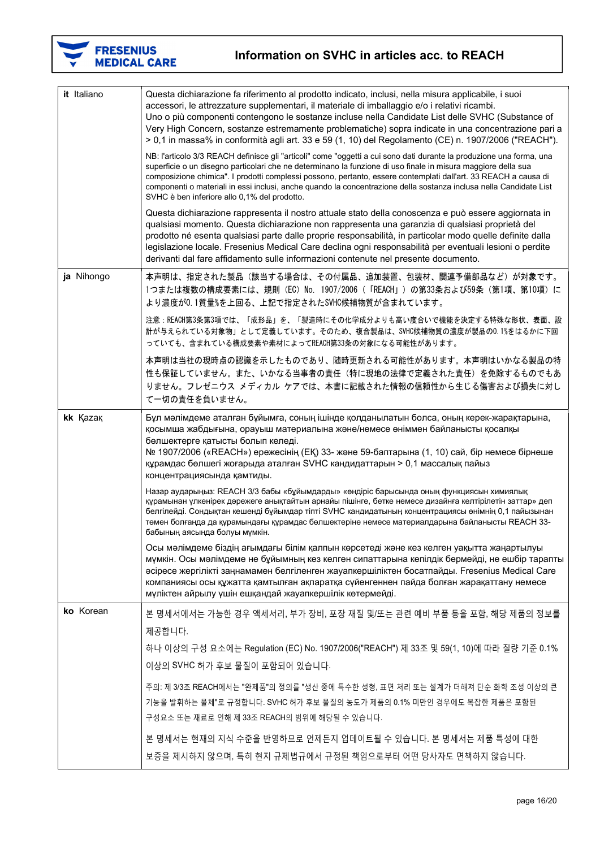

| it Italiano | Questa dichiarazione fa riferimento al prodotto indicato, inclusi, nella misura applicabile, i suoi<br>accessori, le attrezzature supplementari, il materiale di imballaggio e/o i relativi ricambi.<br>Uno o più componenti contengono le sostanze incluse nella Candidate List delle SVHC (Substance of<br>Very High Concern, sostanze estremamente problematiche) sopra indicate in una concentrazione pari a<br>> 0,1 in massa% in conformità agli art. 33 e 59 (1, 10) del Regolamento (CE) n. 1907/2006 ("REACH").       |
|-------------|--------------------------------------------------------------------------------------------------------------------------------------------------------------------------------------------------------------------------------------------------------------------------------------------------------------------------------------------------------------------------------------------------------------------------------------------------------------------------------------------------------------------------------|
|             | NB: l'articolo 3/3 REACH definisce gli "articoli" come "oggetti a cui sono dati durante la produzione una forma, una<br>superficie o un disegno particolari che ne determinano la funzione di uso finale in misura maggiore della sua<br>composizione chimica". I prodotti complessi possono, pertanto, essere contemplati dall'art. 33 REACH a causa di<br>componenti o materiali in essi inclusi, anche quando la concentrazione della sostanza inclusa nella Candidate List<br>SVHC è ben inferiore allo 0,1% del prodotto. |
|             | Questa dichiarazione rappresenta il nostro attuale stato della conoscenza e può essere aggiornata in<br>qualsiasi momento. Questa dichiarazione non rappresenta una garanzia di qualsiasi proprietà del<br>prodotto né esenta qualsiasi parte dalle proprie responsabilità, in particolar modo quelle definite dalla<br>legislazione locale. Fresenius Medical Care declina ogni responsabilità per eventuali lesioni o perdite<br>derivanti dal fare affidamento sulle informazioni contenute nel presente documento.         |
| ja Nihongo  | 本声明は、指定された製品(該当する場合は、その付属品、追加装置、包装材、関連予備部品など)が対象です。<br>1つまたは複数の構成要素には、規則(EC)No. 1907/2006(「REACH」)の第33条および59条(第1項、第10項)に<br>より濃度が0.1質量%を上回る、上記で指定されたSVHC候補物質が含まれています。                                                                                                                                                                                                                                                                                                                                                          |
|             | 注意:REACH第3条第3項では、「成形品」を、「製造時にその化学成分よりも高い度合いで機能を決定する特殊な形状、表面、設<br>計が与えられている対象物」として定義しています。そのため、複合製品は、SVHC候補物質の濃度が製品の0.1%をはるかに下回<br>っていても、含まれている構成要素や素材によってREACH第33条の対象になる可能性があります。                                                                                                                                                                                                                                                                                                                                              |
|             | 本声明は当社の現時点の認識を示したものであり、随時更新される可能性があります。本声明はいかなる製品の特<br>性も保証していません。また、いかなる当事者の責任(特に現地の法律で定義された責任)を免除するものでもあ<br>りません。フレゼニウス メディカル ケアでは、本書に記載された情報の信頼性から生じる傷害および損失に対し<br>て一切の責任を負いません。                                                                                                                                                                                                                                                                                                                                            |
| kk Kazak    | Бұл мәлімдеме аталған бұйымға, соның ішінде қолданылатын болса, оның керек-жарақтарына,<br>қосымша жабдығына, орауыш материалына және/немесе өніммен байланысты қосалқы<br>бөлшектерге қатысты болып келеді.<br>№ 1907/2006 («REACH») ережесінің (ЕҚ) 33- және 59-баптарына (1, 10) сай, бір немесе бірнеше<br>құрамдас бөлшегі жоғарыда аталған SVHC кандидаттарын > 0,1 массалық пайыз<br>концентрациясында қамтиды.                                                                                                         |
|             | Назар аударыңыз: REACH 3/3 бабы «бұйымдарды» «өндіріс барысында оның функциясын химиялық<br>құрамынан үлкенірек дәрежеге анықтайтын арнайы пішінге, бетке немесе дизайнға келтірілетін заттар» деп<br>белгілейді. Сондықтан кешенді бұйымдар тіпті SVHC кандидатының концентрациясы өнімнің 0,1 пайызынан<br>төмен болғанда да құрамындағы құрамдас бөлшектеріне немесе материалдарына байланысты REACH 33-<br>бабының аясында болуы мүмкін.                                                                                   |
|             | Осы мәлімдеме біздің ағымдағы білім қалпын көрсетеді және кез келген уақытта жаңартылуы<br>мүмкін. Осы мәлімдеме не бұйымның кез келген сипаттарына кепілдік бермейді, не ешбір тарапты<br>әсіресе жергілікті заңнамамен белгіленген жауапкершіліктен босатпайды. Fresenius Medical Care<br>компаниясы осы құжатта қамтылған ақпаратқа сүйенгеннен пайда болған жарақаттану немесе<br>мүліктен айрылу үшін ешқандай жауапкершілік көтермейді.                                                                                  |
| ko Korean   | 본 명세서에서는 가능한 경우 액세서리, 부가 장비, 포장 재질 및/또는 관련 예비 부품 등을 포함, 해당 제품의 정보를                                                                                                                                                                                                                                                                                                                                                                                                                                                             |
|             | 제공합니다.                                                                                                                                                                                                                                                                                                                                                                                                                                                                                                                         |
|             | 하나 이상의 구성 요소에는 Regulation (EC) No. 1907/2006("REACH") 제 33조 및 59(1, 10)에 따라 질량 기준 0.1%                                                                                                                                                                                                                                                                                                                                                                                                                                         |
|             | 이상의 SVHC 허가 후보 물질이 포함되어 있습니다.                                                                                                                                                                                                                                                                                                                                                                                                                                                                                                  |
|             | 주의: 제 3/3조 REACH에서는 "완제품"의 정의를 "생산 중에 특수한 성형, 표면 처리 또는 설계가 더해져 단순 화학 조성 이상의 큰<br>기능을 발휘하는 물체"로 규정합니다. SVHC 허가 후보 물질의 농도가 제품의 0.1% 미만인 경우에도 복잡한 제품은 포함된                                                                                                                                                                                                                                                                                                                                                                         |
|             | 구성요소 또는 재료로 인해 제 33조 REACH의 범위에 해당될 수 있습니다.                                                                                                                                                                                                                                                                                                                                                                                                                                                                                    |
|             | 본 명세서는 현재의 지식 수준을 반영하므로 언제든지 업데이트될 수 있습니다. 본 명세서는 제품 특성에 대한<br>보증을 제시하지 않으며, 특히 현지 규제법규에서 규정된 책임으로부터 어떤 당사자도 면책하지 않습니다.                                                                                                                                                                                                                                                                                                                                                                                                        |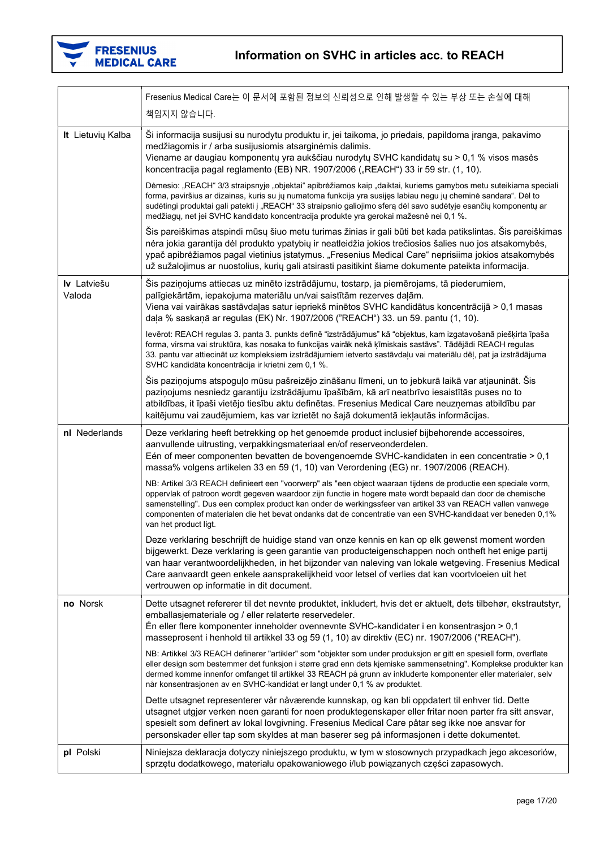

|                       | Fresenius Medical Care는 이 문서에 포함된 정보의 신뢰성으로 인해 발생할 수 있는 부상 또는 손실에 대해<br>책임지지 않습니다.                                                                                                                                                                                                                                                                                                                                                                                                   |
|-----------------------|--------------------------------------------------------------------------------------------------------------------------------------------------------------------------------------------------------------------------------------------------------------------------------------------------------------------------------------------------------------------------------------------------------------------------------------------------------------------------------------|
| It Lietuvių Kalba     | Ši informacija susijusi su nurodytu produktu ir, jei taikoma, jo priedais, papildoma įranga, pakavimo<br>medžiagomis ir / arba susijusiomis atsarginėmis dalimis.<br>Viename ar daugiau komponentų yra aukščiau nurodytų SVHC kandidatų su > 0,1 % visos masės<br>koncentracija pagal reglamento (EB) NR. 1907/2006 ("REACH") 33 ir 59 str. (1, 10).                                                                                                                                 |
|                       | Dėmesio: "REACH" 3/3 straipsnyje "objektai" apibrėžiamos kaip "daiktai, kuriems gamybos metu suteikiama speciali<br>forma, paviršius ar dizainas, kuris su jų numatoma funkcija yra susijęs labiau negu jų cheminė sandara". Dėl to<br>sudėtingi produktai gali patekti į "REACH" 33 straipsnio galiojimo sferą dėl savo sudėtyje esančių komponentų ar<br>medžiagų, net jei SVHC kandidato koncentracija produkte yra gerokai mažesnė nei 0,1 %.                                    |
|                       | Šis pareiškimas atspindi mūsų šiuo metu turimas žinias ir gali būti bet kada patikslintas. Šis pareiškimas<br>nėra jokia garantija dėl produkto ypatybių ir neatleidžia jokios trečiosios šalies nuo jos atsakomybės,<br>ypač apibrėžiamos pagal vietinius įstatymus. "Fresenius Medical Care" neprisiima jokios atsakomybės<br>už sužalojimus ar nuostolius, kurių gali atsirasti pasitikint šiame dokumente pateikta informacija.                                                  |
| Iv Latviešu<br>Valoda | Šis paziņojums attiecas uz minēto izstrādājumu, tostarp, ja piemērojams, tā piederumiem,<br>palīgiekārtām, iepakojuma materiālu un/vai saistītām rezerves daļām.<br>Viena vai vairākas sastāvdaļas satur iepriekš minētos SVHC kandidātus koncentrācijā > 0,1 masas<br>daļa % saskaņā ar regulas (EK) Nr. 1907/2006 ("REACH") 33. un 59. pantu (1, 10).                                                                                                                              |
|                       | levērot: REACH regulas 3. panta 3. punkts definē "izstrādājumus" kā "objektus, kam izgatavošanā piešķirta īpaša<br>forma, virsma vai struktūra, kas nosaka to funkcijas vairāk nekā ķīmiskais sastāvs". Tādējādi REACH regulas<br>33. pantu var attiecināt uz kompleksiem izstrādājumiem ietverto sastāvdaļu vai materiālu dēļ, pat ja izstrādājuma<br>SVHC kandidāta koncentrācija ir krietni zem 0,1 %.                                                                            |
|                       | Šis paziņojums atspoguļo mūsu pašreizējo zināšanu līmeni, un to jebkurā laikā var atjaunināt. Šis<br>paziņojums nesniedz garantiju izstrādājumu īpašībām, kā arī neatbrīvo iesaistītās puses no to<br>atbildības, it īpaši vietējo tiesību aktu definētas. Fresenius Medical Care neuzņemas atbildību par<br>kaitējumu vai zaudējumiem, kas var izrietēt no šajā dokumentā iekļautās informācijas.                                                                                   |
| nl Nederlands         | Deze verklaring heeft betrekking op het genoemde product inclusief bijbehorende accessoires,<br>aanvullende uitrusting, verpakkingsmateriaal en/of reserveonderdelen.<br>Eén of meer componenten bevatten de bovengenoemde SVHC-kandidaten in een concentratie > 0,1<br>massa% volgens artikelen 33 en 59 (1, 10) van Verordening (EG) nr. 1907/2006 (REACH).                                                                                                                        |
|                       | NB: Artikel 3/3 REACH definieert een "voorwerp" als "een object waaraan tijdens de productie een speciale vorm,<br>oppervlak of patroon wordt gegeven waardoor zijn functie in hogere mate wordt bepaald dan door de chemische<br>samenstelling". Dus een complex product kan onder de werkingssfeer van artikel 33 van REACH vallen vanwege<br>componenten of materialen die het bevat ondanks dat de concentratie van een SVHC-kandidaat ver beneden 0,1%<br>van het product ligt. |
|                       | Deze verklaring beschrijft de huidige stand van onze kennis en kan op elk gewenst moment worden<br>bijgewerkt. Deze verklaring is geen garantie van producteigenschappen noch ontheft het enige partij<br>van haar verantwoordelijkheden, in het bijzonder van naleving van lokale wetgeving. Fresenius Medical<br>Care aanvaardt geen enkele aansprakelijkheid voor letsel of verlies dat kan voortvloeien uit het<br>vertrouwen op informatie in dit document.                     |
| no Norsk              | Dette utsagnet refererer til det nevnte produktet, inkludert, hvis det er aktuelt, dets tilbehør, ekstrautstyr,<br>emballasjemateriale og / eller relaterte reservedeler.<br>$\acute{E}$ n eller flere komponenter inneholder ovennevnte SVHC-kandidater i en konsentrasjon > 0,1<br>masseprosent i henhold til artikkel 33 og 59 (1, 10) av direktiv (EC) nr. 1907/2006 ("REACH").                                                                                                  |
|                       | NB: Artikkel 3/3 REACH definerer "artikler" som "objekter som under produksjon er gitt en spesiell form, overflate<br>eller design som bestemmer det funksjon i større grad enn dets kjemiske sammensetning". Komplekse produkter kan<br>dermed komme innenfor omfanget til artikkel 33 REACH på grunn av inkluderte komponenter eller materialer, selv<br>når konsentrasjonen av en SVHC-kandidat er langt under 0,1 % av produktet.                                                |
|                       | Dette utsagnet representerer vår nåværende kunnskap, og kan bli oppdatert til enhver tid. Dette<br>utsagnet utgjør verken noen garanti for noen produktegenskaper eller fritar noen parter fra sitt ansvar,<br>spesielt som definert av lokal lovgivning. Fresenius Medical Care påtar seg ikke noe ansvar for<br>personskader eller tap som skyldes at man baserer seg på informasjonen i dette dokumentet.                                                                         |
| pl Polski             | Niniejsza deklaracja dotyczy niniejszego produktu, w tym w stosownych przypadkach jego akcesoriów,<br>sprzętu dodatkowego, materiału opakowaniowego i/lub powiązanych części zapasowych.                                                                                                                                                                                                                                                                                             |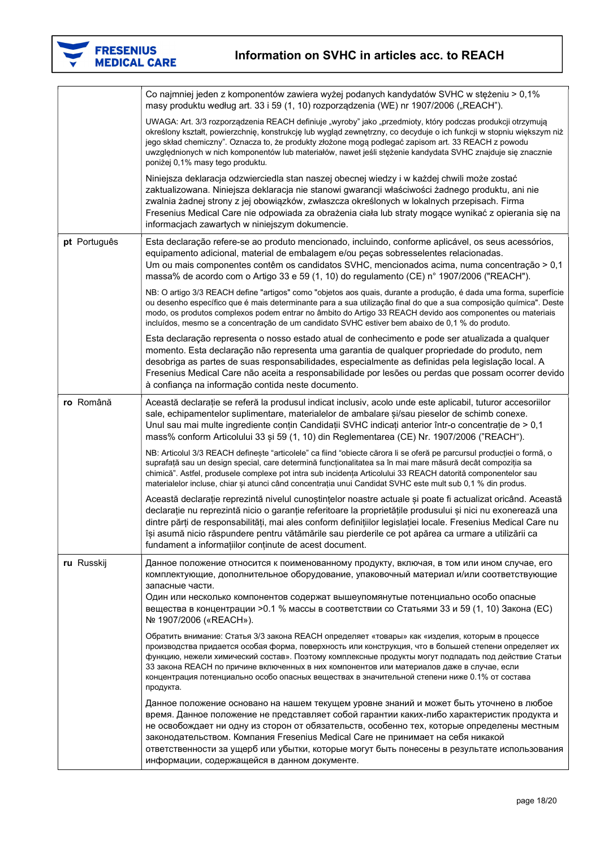

|              | Co najmniej jeden z komponentów zawiera wyżej podanych kandydatów SVHC w stężeniu > 0,1%<br>masy produktu według art. 33 i 59 (1, 10) rozporządzenia (WE) nr 1907/2006 ("REACH").                                                                                                                                                                                                                                                                                                                                            |
|--------------|------------------------------------------------------------------------------------------------------------------------------------------------------------------------------------------------------------------------------------------------------------------------------------------------------------------------------------------------------------------------------------------------------------------------------------------------------------------------------------------------------------------------------|
|              | UWAGA: Art. 3/3 rozporządzenia REACH definiuje "wyroby" jako "przedmioty, który podczas produkcji otrzymują<br>określony kształt, powierzchnię, konstrukcję lub wygląd zewnętrzny, co decyduje o ich funkcji w stopniu większym niż<br>jego skład chemiczny". Oznacza to, że produkty złożone mogą podlegać zapisom art. 33 REACH z powodu<br>uwzględnionych w nich komponentów lub materiałów, nawet jeśli stężenie kandydata SVHC znajduje się znacznie<br>poniżej 0,1% masy tego produktu.                                |
|              | Niniejsza deklaracja odzwierciedla stan naszej obecnej wiedzy i w każdej chwili może zostać<br>zaktualizowana. Niniejsza deklaracja nie stanowi gwarancji właściwości żadnego produktu, ani nie<br>zwalnia żadnej strony z jej obowiązków, zwłaszcza określonych w lokalnych przepisach. Firma<br>Fresenius Medical Care nie odpowiada za obrażenia ciała lub straty mogące wynikać z opierania się na<br>informacjach zawartych w niniejszym dokumencie.                                                                    |
| pt Português | Esta declaração refere-se ao produto mencionado, incluindo, conforme aplicável, os seus acessórios,<br>equipamento adicional, material de embalagem e/ou peças sobresselentes relacionadas.<br>Um ou mais componentes contêm os candidatos SVHC, mencionados acima, numa concentração > 0,1<br>massa% de acordo com o Artigo 33 e 59 (1, 10) do regulamento (CE) n° 1907/2006 ("REACH").                                                                                                                                     |
|              | NB: O artigo 3/3 REACH define "artigos" como "objetos aos quais, durante a produção, é dada uma forma, superfície<br>ou desenho específico que é mais determinante para a sua utilização final do que a sua composição química". Deste<br>modo, os produtos complexos podem entrar no âmbito do Artigo 33 REACH devido aos componentes ou materiais<br>incluídos, mesmo se a concentração de um candidato SVHC estiver bem abaixo de 0,1 % do produto.                                                                       |
|              | Esta declaração representa o nosso estado atual de conhecimento e pode ser atualizada a qualquer<br>momento. Esta declaração não representa uma garantia de qualquer propriedade do produto, nem<br>desobriga as partes de suas responsabilidades, especialmente as definidas pela legislação local. A<br>Fresenius Medical Care não aceita a responsabilidade por lesões ou perdas que possam ocorrer devido<br>à confiança na informação contida neste documento.                                                          |
| ro Română    | Această declarație se referă la produsul indicat inclusiv, acolo unde este aplicabil, tuturor accesoriilor<br>sale, echipamentelor suplimentare, materialelor de ambalare si/sau pieselor de schimb conexe.<br>Unul sau mai multe ingrediente conțin Candidații SVHC indicați anterior într-o concentrație de > 0,1<br>mass% conform Articolului 33 și 59 (1, 10) din Reglementarea (CE) Nr. 1907/2006 ("REACH").                                                                                                            |
|              | NB: Articolul 3/3 REACH definește "articolele" ca fiind "obiecte cărora li se oferă pe parcursul producției o formă, o<br>suprafață sau un design special, care determină funcționalitatea sa în mai mare măsură decât compoziția sa<br>chimică". Astfel, produsele complexe pot intra sub incidența Articolului 33 REACH datorită componentelor sau<br>materialelor incluse, chiar și atunci când concentrația unui Candidat SVHC este mult sub 0,1 % din produs.                                                           |
|              | Această declarație reprezintă nivelul cunoștințelor noastre actuale și poate fi actualizat oricând. Această<br>declarație nu reprezintă nicio o garanție referitoare la proprietățile produsului și nici nu exonerează una<br>dintre părți de responsabilități, mai ales conform definițiilor legislației locale. Fresenius Medical Care nu<br>își asumă nicio răspundere pentru vătămările sau pierderile ce pot apărea ca urmare a utilizării ca<br>fundament a informațiilor conținute de acest document.                 |
| ru Russkij   | Данное положение относится к поименованному продукту, включая, в том или ином случае, его<br>комплектующие, дополнительное оборудование, упаковочный материал и/или соответствующие<br>запасные части.<br>Один или несколько компонентов содержат вышеупомянутые потенциально особо опасные<br>вещества в концентрации >0.1 % массы в соответствии со Статьями 33 и 59 (1, 10) Закона (ЕС)<br>№ 1907/2006 («REACH»).                                                                                                         |
|              | Обратить внимание: Статья 3/3 закона REACH определяет «товары» как «изделия, которым в процессе<br>производства придается особая форма, поверхность или конструкция, что в большей степени определяет их<br>функцию, нежели химический состав». Поэтому комплексные продукты могут подпадать под действие Статьи<br>33 закона REACH по причине включенных в них компонентов или материалов даже в случае, если<br>концентрация потенциально особо опасных веществах в значительной степени ниже 0.1% от состава<br>продукта. |
|              | Данное положение основано на нашем текущем уровне знаний и может быть уточнено в любое<br>время. Данное положение не представляет собой гарантии каких-либо характеристик продукта и<br>не освобождает ни одну из сторон от обязательств, особенно тех, которые определены местным<br>законодательством. Компания Fresenius Medical Care не принимает на себя никакой<br>ответственности за ущерб или убытки, которые могут быть понесены в результате использования<br>информации, содержащейся в данном документе.         |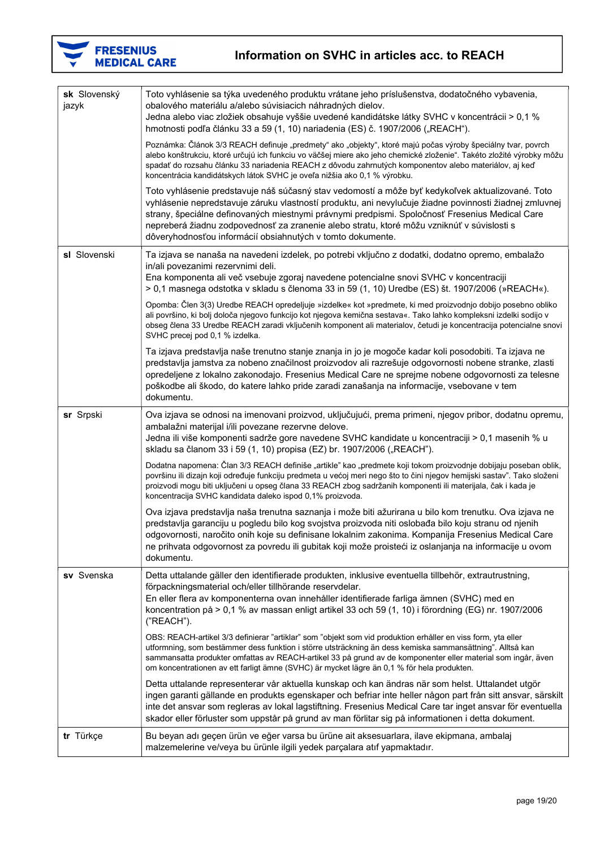

| sk Slovenský<br>jazyk | Toto vyhlásenie sa týka uvedeného produktu vrátane jeho príslušenstva, dodatočného vybavenia,<br>obalového materiálu a/alebo súvisiacich náhradných dielov.<br>Jedna alebo viac zložiek obsahuje vyššie uvedené kandidátske látky SVHC v koncentrácii > 0,1 %<br>hmotnosti podľa článku 33 a 59 (1, 10) nariadenia (ES) č. 1907/2006 ("REACH").                                                                                                                          |
|-----------------------|--------------------------------------------------------------------------------------------------------------------------------------------------------------------------------------------------------------------------------------------------------------------------------------------------------------------------------------------------------------------------------------------------------------------------------------------------------------------------|
|                       | Poznámka: Článok 3/3 REACH definuje "predmety" ako "objekty", ktoré majú počas výroby špeciálny tvar, povrch<br>alebo konštrukciu, ktoré určujú ich funkciu vo väčšej miere ako jeho chemické zloženie". Takéto zložité výrobky môžu<br>spadať do rozsahu článku 33 nariadenia REACH z dôvodu zahrnutých komponentov alebo materiálov, aj keď<br>koncentrácia kandidátskych látok SVHC je oveľa nižšia ako 0,1 % výrobku.                                                |
|                       | Toto vyhlásenie predstavuje náš súčasný stav vedomostí a môže byť kedykoľvek aktualizované. Toto<br>vyhlásenie nepredstavuje záruku vlastností produktu, ani nevylučuje žiadne povinnosti žiadnej zmluvnej<br>strany, špeciálne definovaných miestnymi právnymi predpismi. Spoločnosť Fresenius Medical Care<br>nepreberá žiadnu zodpovednosť za zranenie alebo stratu, ktoré môžu vzniknúť v súvislosti s<br>dôveryhodnosťou informácií obsiahnutých v tomto dokumente. |
| sl Slovenski          | Ta izjava se nanaša na navedeni izdelek, po potrebi vključno z dodatki, dodatno opremo, embalažo<br>in/ali povezanimi rezervnimi deli.<br>Ena komponenta ali več vsebuje zgoraj navedene potencialne snovi SVHC v koncentraciji<br>> 0,1 masnega odstotka v skladu s členoma 33 in 59 (1, 10) Uredbe (ES) št. 1907/2006 (»REACH«).                                                                                                                                       |
|                       | Opomba: Člen 3(3) Uredbe REACH opredeljuje »izdelke« kot »predmete, ki med proizvodnjo dobijo posebno obliko<br>ali površino, ki bolj določa njegovo funkcijo kot njegova kemična sestava«. Tako lahko kompleksni izdelki sodijo v<br>obseg člena 33 Uredbe REACH zaradi vključenih komponent ali materialov, četudi je koncentracija potencialne snovi<br>SVHC precej pod 0,1 % izdelka.                                                                                |
|                       | Ta izjava predstavlja naše trenutno stanje znanja in jo je mogoče kadar koli posodobiti. Ta izjava ne<br>predstavlja jamstva za nobeno značilnost proizvodov ali razrešuje odgovornosti nobene stranke, zlasti<br>opredeljene z lokalno zakonodajo. Fresenius Medical Care ne sprejme nobene odgovornosti za telesne<br>poškodbe ali škodo, do katere lahko pride zaradi zanašanja na informacije, vsebovane v tem<br>dokumentu.                                         |
| sr Srpski             | Ova izjava se odnosi na imenovani proizvod, uključujući, prema primeni, njegov pribor, dodatnu opremu,<br>ambalažni materijal i/ili povezane rezervne delove.<br>Jedna ili više komponenti sadrže gore navedene SVHC kandidate u koncentraciji > 0,1 masenih % u<br>skladu sa članom 33 i 59 (1, 10) propisa (EZ) br. 1907/2006 ("REACH").                                                                                                                               |
|                       | Dodatna napomena: Član 3/3 REACH definiše "artikle" kao "predmete koji tokom proizvodnje dobijaju poseban oblik,<br>površinu ili dizajn koji određuje funkciju predmeta u većoj meri nego što to čini njegov hemijski sastav". Tako složeni<br>proizvodi mogu biti uključeni u opseg člana 33 REACH zbog sadržanih komponenti ili materijala, čak i kada je<br>koncentracija SVHC kandidata daleko ispod 0,1% proizvoda.                                                 |
|                       | Ova izjava predstavlja naša trenutna saznanja i može biti ažurirana u bilo kom trenutku. Ova izjava ne<br>predstavlja garanciju u pogledu bilo kog svojstva proizvoda niti oslobađa bilo koju stranu od njenih<br>odgovornosti, naročito onih koje su definisane lokalnim zakonima. Kompanija Fresenius Medical Care<br>ne prihvata odgovornost za povredu ili gubitak koji može proisteći iz oslanjanja na informacije u ovom<br>dokumentu.                             |
| sv Svenska            | Detta uttalande gäller den identifierade produkten, inklusive eventuella tillbehör, extrautrustning,<br>förpackningsmaterial och/eller tillhörande reservdelar.<br>En eller flera av komponenterna ovan innehåller identifierade farliga ämnen (SVHC) med en<br>koncentration på > 0,1 % av massan enligt artikel 33 och 59 (1, 10) i förordning (EG) nr. 1907/2006<br>("REACH").                                                                                        |
|                       | OBS: REACH-artikel 3/3 definierar "artiklar" som "objekt som vid produktion erhåller en viss form, yta eller<br>utformning, som bestämmer dess funktion i större utsträckning än dess kemiska sammansättning". Alltså kan<br>sammansatta produkter omfattas av REACH-artikel 33 på grund av de komponenter eller material som ingår, även<br>om koncentrationen av ett farligt ämne (SVHC) är mycket lägre än 0,1 % för hela produkten.                                  |
|                       | Detta uttalande representerar vår aktuella kunskap och kan ändras när som helst. Uttalandet utgör<br>ingen garanti gällande en produkts egenskaper och befriar inte heller någon part från sitt ansvar, särskilt<br>inte det ansvar som regleras av lokal lagstiftning. Fresenius Medical Care tar inget ansvar för eventuella<br>skador eller förluster som uppstår på grund av man förlitar sig på informationen i detta dokument.                                     |
| tr Türkçe             | Bu beyan adı geçen ürün ve eğer varsa bu ürüne ait aksesuarlara, ilave ekipmana, ambalaj<br>malzemelerine ve/veya bu ürünle ilgili yedek parçalara atıf yapmaktadır.                                                                                                                                                                                                                                                                                                     |